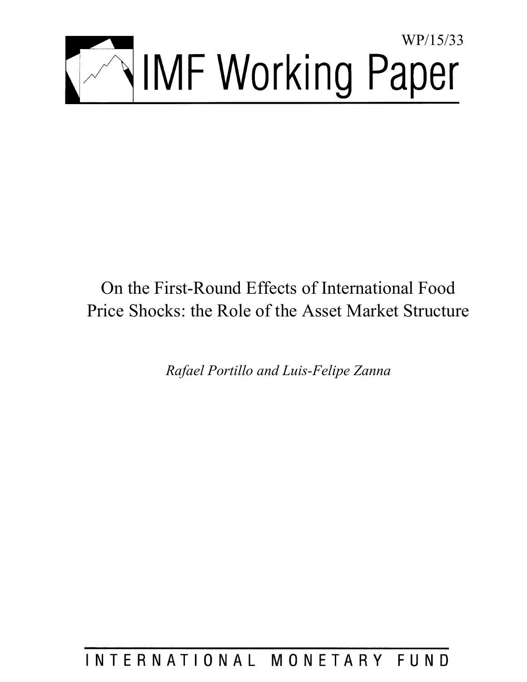

# On the First-Round Effects of International Food Price Shocks: the Role of the Asset Market Structure

*Rafael Portillo and Luis-Felipe Zanna* 

# INTERNATIONAL MONETARY FUND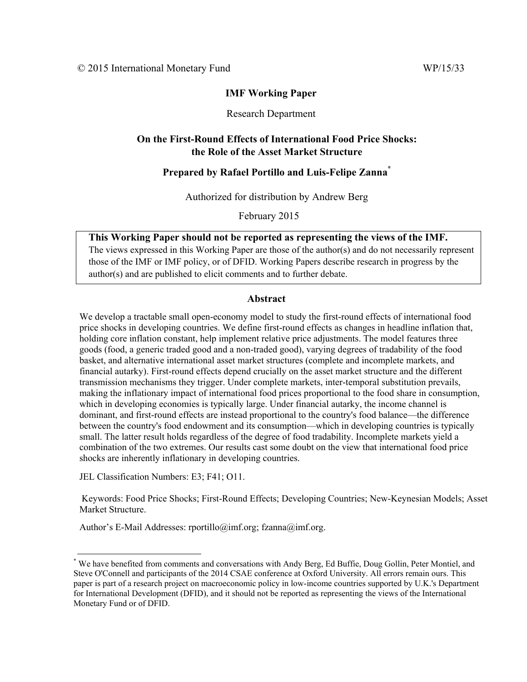# **IMF Working Paper**

# Research Department

# **On the First-Round Effects of International Food Price Shocks: the Role of the Asset Market Structure**

# **Prepared by Rafael Portillo and Luis-Felipe Zanna\***

Authorized for distribution by Andrew Berg

February 2015

# **This Working Paper should not be reported as representing the views of the IMF.**

The views expressed in this Working Paper are those of the author(s) and do not necessarily represent those of the IMF or IMF policy, or of DFID. Working Papers describe research in progress by the author(s) and are published to elicit comments and to further debate.

# **Abstract**

We develop a tractable small open-economy model to study the first-round effects of international food price shocks in developing countries. We define first-round effects as changes in headline inflation that, holding core inflation constant, help implement relative price adjustments. The model features three goods (food, a generic traded good and a non-traded good), varying degrees of tradability of the food basket, and alternative international asset market structures (complete and incomplete markets, and financial autarky). First-round effects depend crucially on the asset market structure and the different transmission mechanisms they trigger. Under complete markets, inter-temporal substitution prevails, making the inflationary impact of international food prices proportional to the food share in consumption, which in developing economies is typically large. Under financial autarky, the income channel is dominant, and first-round effects are instead proportional to the country's food balance—the difference between the country's food endowment and its consumption—which in developing countries is typically small. The latter result holds regardless of the degree of food tradability. Incomplete markets yield a combination of the two extremes. Our results cast some doubt on the view that international food price shocks are inherently inflationary in developing countries.

JEL Classification Numbers: E3; F41; O11.

 Keywords: Food Price Shocks; First-Round Effects; Developing Countries; New-Keynesian Models; Asset Market Structure.

Author's E-Mail Addresses: rportillo@imf.org; fzanna@imf.org.

<sup>\*</sup> We have benefited from comments and conversations with Andy Berg, Ed Buffie, Doug Gollin, Peter Montiel, and Steve O'Connell and participants of the 2014 CSAE conference at Oxford University. All errors remain ours. This paper is part of a research project on macroeconomic policy in low-income countries supported by U.K.'s Department for International Development (DFID), and it should not be reported as representing the views of the International Monetary Fund or of DFID.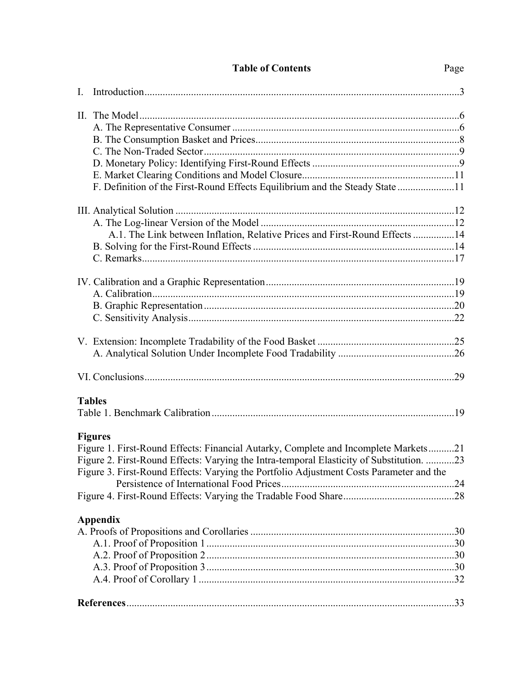| Page |
|------|
|      |

| F. Definition of the First-Round Effects Equilibrium and the Steady State 11             |  |
|------------------------------------------------------------------------------------------|--|
|                                                                                          |  |
|                                                                                          |  |
| A.1. The Link between Inflation, Relative Prices and First-Round Effects 14              |  |
|                                                                                          |  |
|                                                                                          |  |
|                                                                                          |  |
|                                                                                          |  |
|                                                                                          |  |
|                                                                                          |  |
|                                                                                          |  |
|                                                                                          |  |
|                                                                                          |  |
| <b>Tables</b>                                                                            |  |
|                                                                                          |  |
| <b>Figures</b>                                                                           |  |
| Figure 1. First-Round Effects: Financial Autarky, Complete and Incomplete Markets21      |  |
| Figure 2. First-Round Effects: Varying the Intra-temporal Elasticity of Substitution. 23 |  |
| Figure 3. First-Round Effects: Varying the Portfolio Adjustment Costs Parameter and the  |  |
|                                                                                          |  |
|                                                                                          |  |
| Appendix                                                                                 |  |
|                                                                                          |  |
|                                                                                          |  |
|                                                                                          |  |
|                                                                                          |  |
|                                                                                          |  |
|                                                                                          |  |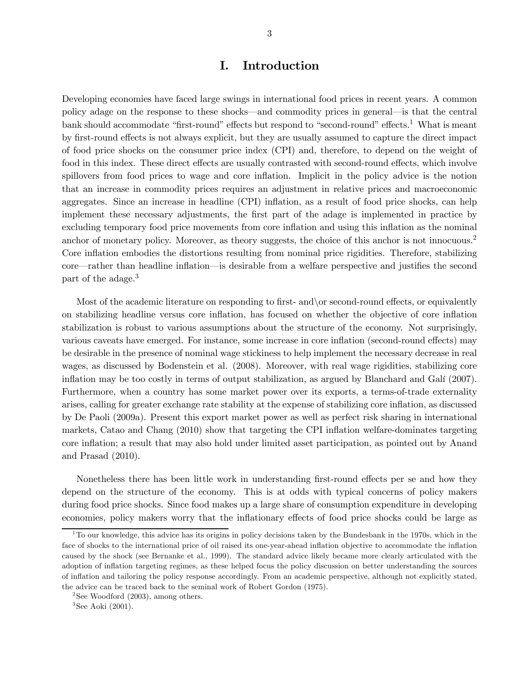# I. Introduction

Developing economies have faced large swings in international food prices in recent years. A common policy adage on the response to these shocks–and commodity prices in general–is that the central bank should accommodate "first-round" effects but respond to "second-round" effects.<sup>1</sup> What is meant by first-round effects is not always explicit, but they are usually assumed to capture the direct impact of food price shocks on the consumer price index (CPI) and, therefore, to depend on the weight of food in this index. These direct effects are usually contrasted with second-round effects, which involve spillovers from food prices to wage and core inflation. Implicit in the policy advice is the notion that an increase in commodity prices requires an adjustment in relative prices and macroeconomic aggregates. Since an increase in headline (CPI) inflation, as a result of food price shocks, can help implement these necessary adjustments, the first part of the adage is implemented in practice by excluding temporary food price movements from core inflation and using this inflation as the nominal anchor of monetary policy. Moreover, as theory suggests, the choice of this anchor is not innocuous.<sup>2</sup> Core inflation embodies the distortions resulting from nominal price rigidities. Therefore, stabilizing core–rather than headline inflation–is desirable from a welfare perspective and justifies the second part of the adage.<sup>3</sup>

Most of the academic literature on responding to first- and or second-round effects, or equivalently on stabilizing headline versus core inflation, has focused on whether the objective of core inflation stabilization is robust to various assumptions about the structure of the economy. Not surprisingly, various caveats have emerged. For instance, some increase in core inflation (second-round effects) may be desirable in the presence of nominal wage stickiness to help implement the necessary decrease in real wages, as discussed by Bodenstein et al. (2008). Moreover, with real wage rigidities, stabilizing core inflation may be too costly in terms of output stabilization, as argued by Blanchard and Galí (2007). Furthermore, when a country has some market power over its exports, a terms-of-trade externality arises, calling for greater exchange rate stability at the expense of stabilizing core inflation, as discussed by De Paoli (2009a). Present this export market power as well as perfect risk sharing in international markets, Catao and Chang (2010) show that targeting the CPI inflation welfare-dominates targeting core inflation; a result that may also hold under limited asset participation, as pointed out by Anand and Prasad (2010).

Nonetheless there has been little work in understanding first-round effects per se and how they depend on the structure of the economy. This is at odds with typical concerns of policy makers during food price shocks. Since food makes up a large share of consumption expenditure in developing economies, policy makers worry that the inflationary effects of food price shocks could be large as

 $1$ To our knowledge, this advice has its origins in policy decisions taken by the Bundesbank in the 1970s, which in the face of shocks to the international price of oil raised its one-year-ahead inflation objective to accommodate the inflation caused by the shock (see Bernanke et al., 1999). The standard advice likely became more clearly articulated with the adoption of inflation targeting regimes, as these helped focus the policy discussion on better understanding the sources of inflation and tailoring the policy response accordingly. From an academic perspective, although not explicitly stated, the advice can be traced back to the seminal work of Robert Gordon (1975).

 $2$ See Woodford (2003), among others.

 $3$ See Aoki (2001).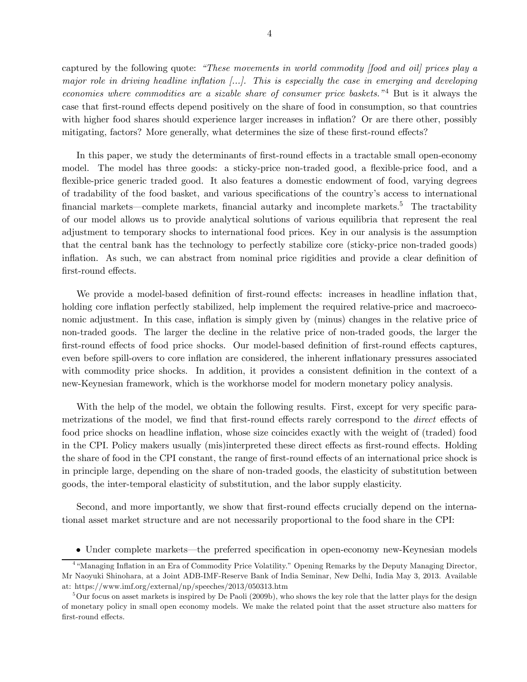captured by the following quote: "These movements in world commodity [food and oil] prices play a major role in driving headline inflation [...]. This is especially the case in emerging and developing economies where commodities are a sizable share of consumer price baskets."<sup>4</sup> But is it always the case that first-round effects depend positively on the share of food in consumption, so that countries with higher food shares should experience larger increases in inflation? Or are there other, possibly mitigating, factors? More generally, what determines the size of these first-round effects?

In this paper, we study the determinants of first-round effects in a tractable small open-economy model. The model has three goods: a sticky-price non-traded good, a flexible-price food, and a flexible-price generic traded good. It also features a domestic endowment of food, varying degrees of tradability of the food basket, and various specifications of the country's access to international financial markets—complete markets, financial autarky and incomplete markets.<sup>5</sup> The tractability of our model allows us to provide analytical solutions of various equilibria that represent the real adjustment to temporary shocks to international food prices. Key in our analysis is the assumption that the central bank has the technology to perfectly stabilize core (sticky-price non-traded goods) inflation. As such, we can abstract from nominal price rigidities and provide a clear definition of first-round effects.

We provide a model-based definition of first-round effects: increases in headline inflation that, holding core inflation perfectly stabilized, help implement the required relative-price and macroeconomic adjustment. In this case, inflation is simply given by (minus) changes in the relative price of non-traded goods. The larger the decline in the relative price of non-traded goods, the larger the first-round effects of food price shocks. Our model-based definition of first-round effects captures, even before spill-overs to core inflation are considered, the inherent inflationary pressures associated with commodity price shocks. In addition, it provides a consistent definition in the context of a new-Keynesian framework, which is the workhorse model for modern monetary policy analysis.

With the help of the model, we obtain the following results. First, except for very specific parametrizations of the model, we find that first-round effects rarely correspond to the *direct* effects of food price shocks on headline inflation, whose size coincides exactly with the weight of (traded) food in the CPI. Policy makers usually (mis)interpreted these direct effects as first-round effects. Holding the share of food in the CPI constant, the range of first-round effects of an international price shock is in principle large, depending on the share of non-traded goods, the elasticity of substitution between goods, the inter-temporal elasticity of substitution, and the labor supply elasticity.

Second, and more importantly, we show that first-round effects crucially depend on the international asset market structure and are not necessarily proportional to the food share in the CPI:

• Under complete markets–the preferred specification in open-economy new-Keynesian models

<sup>4</sup> "Managing Inflation in an Era of Commodity Price Volatility." Opening Remarks by the Deputy Managing Director, Mr Naoyuki Shinohara, at a Joint ADB-IMF-Reserve Bank of India Seminar, New Delhi, India May 3, 2013. Available at: https://www.imf.org/external/np/speeches/2013/050313.htm

 $5$ Our focus on asset markets is inspired by De Paoli (2009b), who shows the key role that the latter plays for the design of monetary policy in small open economy models. We make the related point that the asset structure also matters for first-round effects.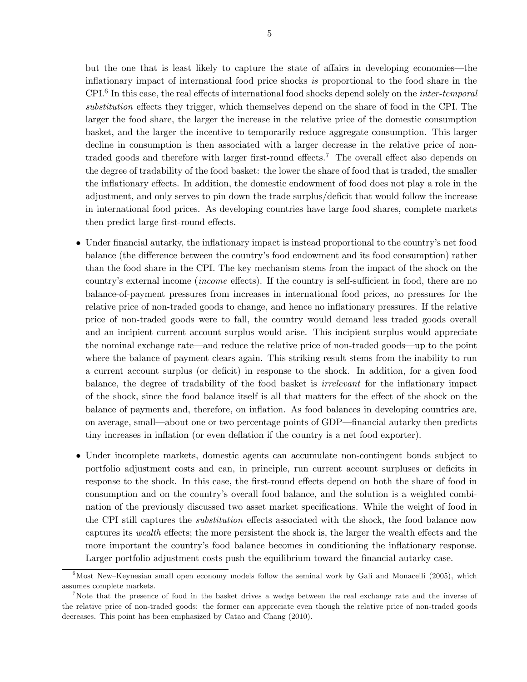but the one that is least likely to capture the state of affairs in developing economies–the inflationary impact of international food price shocks is proportional to the food share in the  $CPI<sup>6</sup>$  In this case, the real effects of international food shocks depend solely on the *inter-temporal* substitution effects they trigger, which themselves depend on the share of food in the CPI. The larger the food share, the larger the increase in the relative price of the domestic consumption basket, and the larger the incentive to temporarily reduce aggregate consumption. This larger decline in consumption is then associated with a larger decrease in the relative price of nontraded goods and therefore with larger first-round effects.<sup>7</sup> The overall effect also depends on the degree of tradability of the food basket: the lower the share of food that is traded, the smaller the inflationary effects. In addition, the domestic endowment of food does not play a role in the adjustment, and only serves to pin down the trade surplus/deficit that would follow the increase in international food prices. As developing countries have large food shares, complete markets then predict large first-round effects.

- Under financial autarky, the inflationary impact is instead proportional to the country's net food balance (the difference between the country's food endowment and its food consumption) rather than the food share in the CPI. The key mechanism stems from the impact of the shock on the country's external income (income effects). If the country is self-sufficient in food, there are no balance-of-payment pressures from increases in international food prices, no pressures for the relative price of non-traded goods to change, and hence no inflationary pressures. If the relative price of non-traded goods were to fall, the country would demand less traded goods overall and an incipient current account surplus would arise. This incipient surplus would appreciate the nominal exchange rate–and reduce the relative price of non-traded goods–up to the point where the balance of payment clears again. This striking result stems from the inability to run a current account surplus (or deficit) in response to the shock. In addition, for a given food balance, the degree of tradability of the food basket is irrelevant for the inflationary impact of the shock, since the food balance itself is all that matters for the effect of the shock on the balance of payments and, therefore, on inflation. As food balances in developing countries are, on average, small–about one or two percentage points of GDP–financial autarky then predicts tiny increases in inflation (or even deflation if the country is a net food exporter).
- Under incomplete markets, domestic agents can accumulate non-contingent bonds subject to portfolio adjustment costs and can, in principle, run current account surpluses or deficits in response to the shock. In this case, the first-round effects depend on both the share of food in consumption and on the country's overall food balance, and the solution is a weighted combination of the previously discussed two asset market specifications. While the weight of food in the CPI still captures the substitution effects associated with the shock, the food balance now captures its wealth effects; the more persistent the shock is, the larger the wealth effects and the more important the country's food balance becomes in conditioning the inflationary response. Larger portfolio adjustment costs push the equilibrium toward the financial autarky case.

 $6M$ ost New–Keynesian small open economy models follow the seminal work by Gali and Monacelli (2005), which assumes complete markets.

<sup>7</sup>Note that the presence of food in the basket drives a wedge between the real exchange rate and the inverse of the relative price of non-traded goods: the former can appreciate even though the relative price of non-traded goods decreases. This point has been emphasized by Catao and Chang (2010).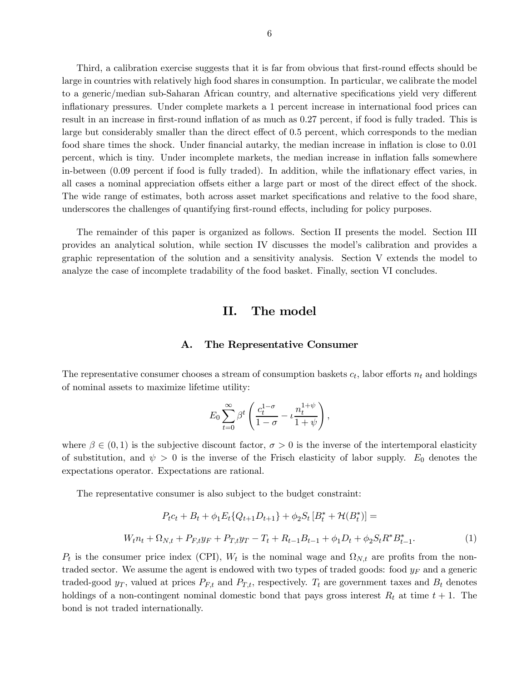Third, a calibration exercise suggests that it is far from obvious that first-round effects should be large in countries with relatively high food shares in consumption. In particular, we calibrate the model to a generic/median sub-Saharan African country, and alternative specifications yield very different inflationary pressures. Under complete markets a 1 percent increase in international food prices can result in an increase in first-round inflation of as much as 027 percent, if food is fully traded. This is large but considerably smaller than the direct effect of 05 percent, which corresponds to the median food share times the shock. Under financial autarky, the median increase in inflation is close to 0.01 percent, which is tiny. Under incomplete markets, the median increase in inflation falls somewhere in-between (009 percent if food is fully traded). In addition, while the inflationary effect varies, in all cases a nominal appreciation offsets either a large part or most of the direct effect of the shock. The wide range of estimates, both across asset market specifications and relative to the food share, underscores the challenges of quantifying first-round effects, including for policy purposes.

The remainder of this paper is organized as follows. Section II presents the model. Section III provides an analytical solution, while section IV discusses the model's calibration and provides a graphic representation of the solution and a sensitivity analysis. Section V extends the model to analyze the case of incomplete tradability of the food basket. Finally, section VI concludes.

# II. The model

## A. The Representative Consumer

The representative consumer chooses a stream of consumption baskets  $c_t$ , labor efforts  $n_t$  and holdings of nominal assets to maximize lifetime utility:

$$
E_0 \sum_{t=0}^{\infty} \beta^t \left( \frac{c_t^{1-\sigma}}{1-\sigma} - \iota \frac{n_t^{1+\psi}}{1+\psi} \right),\,
$$

where  $\beta \in (0,1)$  is the subjective discount factor,  $\sigma > 0$  is the inverse of the intertemporal elasticity of substitution, and  $\psi > 0$  is the inverse of the Frisch elasticity of labor supply.  $E_0$  denotes the expectations operator. Expectations are rational.

The representative consumer is also subject to the budget constraint:

$$
P_{t}c_{t} + B_{t} + \phi_{1}E_{t}\{Q_{t+1}D_{t+1}\} + \phi_{2}S_{t}[B_{t}^{*} + \mathcal{H}(B_{t}^{*})] =
$$
  

$$
W_{t}n_{t} + \Omega_{N,t} + P_{F,t}y_{F} + P_{T,t}y_{T} - T_{t} + R_{t-1}B_{t-1} + \phi_{1}D_{t} + \phi_{2}S_{t}R^{*}B_{t-1}^{*}.
$$
 (1)

 $P_t$  is the consumer price index (CPI),  $W_t$  is the nominal wage and  $\Omega_{N,t}$  are profits from the nontraded sector. We assume the agent is endowed with two types of traded goods: food  $y_F$  and a generic traded-good  $y_T$ , valued at prices  $P_{F,t}$  and  $P_{T,t}$ , respectively.  $T_t$  are government taxes and  $B_t$  denotes holdings of a non-contingent nominal domestic bond that pays gross interest  $R_t$  at time  $t + 1$ . The bond is not traded internationally.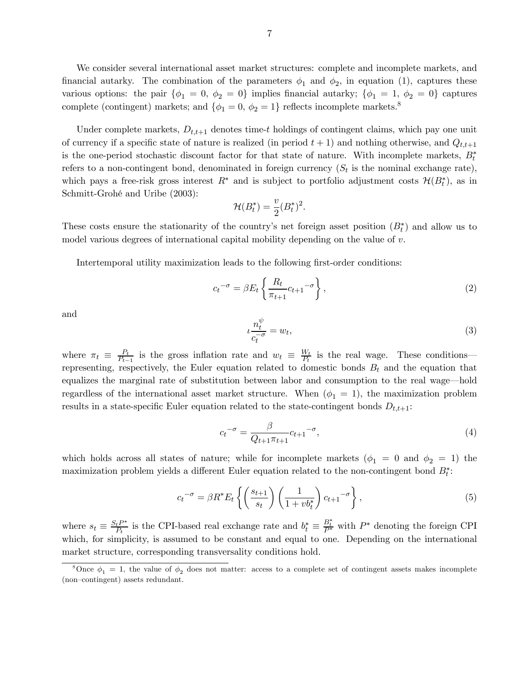We consider several international asset market structures: complete and incomplete markets, and financial autarky. The combination of the parameters  $\phi_1$  and  $\phi_2$ , in equation (1), captures these various options: the pair  $\{\phi_1 = 0, \phi_2 = 0\}$  implies financial autarky;  $\{\phi_1 = 1, \phi_2 = 0\}$  captures complete (contingent) markets; and  $\{\phi_1=0,\,\phi_2=1\}$  reflects incomplete markets.<sup>8</sup>

Under complete markets,  $D_{t,t+1}$  denotes time-t holdings of contingent claims, which pay one unit of currency if a specific state of nature is realized (in period  $t + 1$ ) and nothing otherwise, and  $Q_{t,t+1}$ is the one-period stochastic discount factor for that state of nature. With incomplete markets,  $B_t^*$ refers to a non-contingent bond, denominated in foreign currency  $(S_t$  is the nominal exchange rate), which pays a free-risk gross interest  $R^*$  and is subject to portfolio adjustment costs  $\mathcal{H}(B_t^*)$ , as in Schmitt-Grohé and Uribe (2003):

$$
\mathcal{H}(B_t^*) = \frac{v}{2}(B_t^*)^2.
$$

These costs ensure the stationarity of the country's net foreign asset position  $(B<sub>t</sub><sup>*</sup>)$  and allow us to model various degrees of international capital mobility depending on the value of  $v$ .

Intertemporal utility maximization leads to the following first-order conditions:

$$
c_t^{-\sigma} = \beta E_t \left\{ \frac{R_t}{\pi_{t+1}} c_{t+1}^{-\sigma} \right\},\tag{2}
$$

and

$$
\iota \frac{n_t^{\psi}}{c_t^{-\sigma}} = w_t,\tag{3}
$$

where  $\pi_t \equiv \frac{P_t}{P_{t-1}}$  is the gross inflation rate and  $w_t \equiv \frac{W_t}{P_t}$  is the real wage. These conditions– representing, respectively, the Euler equation related to domestic bonds  $B_t$  and the equation that equalizes the marginal rate of substitution between labor and consumption to the real wage–hold regardless of the international asset market structure. When  $(\phi_1 = 1)$ , the maximization problem results in a state-specific Euler equation related to the state-contingent bonds  $D_{t,t+1}$ :

$$
c_t^{-\sigma} = \frac{\beta}{Q_{t+1}\pi_{t+1}} c_{t+1}^{-\sigma},\tag{4}
$$

which holds across all states of nature; while for incomplete markets  $(\phi_1 = 0 \text{ and } \phi_2 = 1)$  the maximization problem yields a different Euler equation related to the non-contingent bond  $B_t^*$ :

$$
c_t^{-\sigma} = \beta R^* E_t \left\{ \left( \frac{s_{t+1}}{s_t} \right) \left( \frac{1}{1 + v b_t^*} \right) c_{t+1}^{-\sigma} \right\},\tag{5}
$$

where  $s_t \equiv \frac{S_t P^*}{P_t}$  is the CPI-based real exchange rate and  $b_t^* \equiv \frac{B_t^*}{P^*}$  with  $P^*$  denoting the foreign CPI which, for simplicity, is assumed to be constant and equal to one. Depending on the international market structure, corresponding transversality conditions hold.

<sup>&</sup>lt;sup>8</sup>Once  $\phi_1 = 1$ , the value of  $\phi_2$  does not matter: access to a complete set of contingent assets makes incomplete (non—contingent) assets redundant.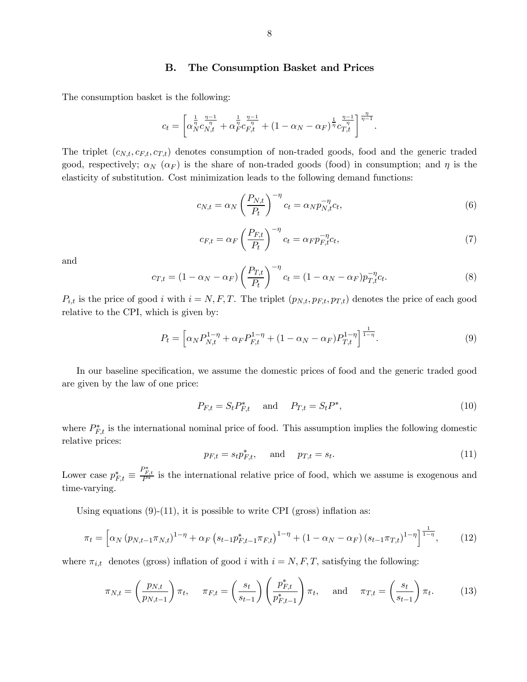### B. The Consumption Basket and Prices

The consumption basket is the following:

$$
c_t = \left[ \alpha_N^{\frac{1}{\eta}} \alpha_{N,t}^{\frac{\eta-1}{\eta}} + \alpha_F^{\frac{1}{\eta}} \alpha_{F,t}^{\frac{\eta-1}{\eta}} + (1 - \alpha_N - \alpha_F)^{\frac{1}{\eta}} \alpha_{T,t}^{\frac{\eta-1}{\eta}} \right]^{\frac{\eta}{\eta-1}}.
$$

The triplet  $(c_{N,t}, c_{F,t}, c_{T,t})$  denotes consumption of non-traded goods, food and the generic traded good, respectively;  $\alpha_N$  ( $\alpha_F$ ) is the share of non-traded goods (food) in consumption; and  $\eta$  is the elasticity of substitution. Cost minimization leads to the following demand functions:

$$
c_{N,t} = \alpha_N \left(\frac{P_{N,t}}{P_t}\right)^{-\eta} c_t = \alpha_N p_{N,t}^{-\eta} c_t,
$$
\n(6)

$$
c_{F,t} = \alpha_F \left(\frac{P_{F,t}}{P_t}\right)^{-\eta} c_t = \alpha_F p_{F,t}^{-\eta} c_t,\tag{7}
$$

and

$$
c_{T,t} = (1 - \alpha_N - \alpha_F) \left(\frac{P_{T,t}}{P_t}\right)^{-\eta} c_t = (1 - \alpha_N - \alpha_F) p_{T,t}^{-\eta} c_t.
$$
\n
$$
(8)
$$

 $P_{i,t}$  is the price of good *i* with  $i = N, F, T$ . The triplet  $(p_{N,t}, p_{F,t}, p_{T,t})$  denotes the price of each good relative to the CPI, which is given by:

$$
P_t = \left[ \alpha_N P_{N,t}^{1-\eta} + \alpha_F P_{F,t}^{1-\eta} + (1 - \alpha_N - \alpha_F) P_{T,t}^{1-\eta} \right]^{\frac{1}{1-\eta}}.
$$
\n(9)

In our baseline specification, we assume the domestic prices of food and the generic traded good are given by the law of one price:

$$
P_{F,t} = S_t P_{F,t}^* \quad \text{and} \quad P_{T,t} = S_t P^*, \tag{10}
$$

where  $P_{F,t}^*$  is the international nominal price of food. This assumption implies the following domestic relative prices:

$$
p_{F,t} = s_t p_{F,t}^*, \quad \text{and} \quad p_{T,t} = s_t. \tag{11}
$$

Lower case  $p_{F,t}^* \equiv$  $\frac{P_{F,t}^*}{P_*^*}$  is the international relative price of food, which we assume is exogenous and time-varying.

Using equations  $(9)-(11)$ , it is possible to write CPI (gross) inflation as:

$$
\pi_t = \left[ \alpha_N \left( p_{N,t-1} \pi_{N,t} \right)^{1-\eta} + \alpha_F \left( s_{t-1} p_{F,t-1}^* \pi_{F,t} \right)^{1-\eta} + \left( 1 - \alpha_N - \alpha_F \right) \left( s_{t-1} \pi_{T,t} \right)^{1-\eta} \right]^{\frac{1}{1-\eta}},\tag{12}
$$

where  $\pi_{i,t}$  denotes (gross) inflation of good *i* with  $i = N, F, T$ , satisfying the following:

$$
\pi_{N,t} = \left(\frac{p_{N,t}}{p_{N,t-1}}\right)\pi_t, \quad \pi_{F,t} = \left(\frac{s_t}{s_{t-1}}\right)\left(\frac{p_{F,t}^*}{p_{F,t-1}^*}\right)\pi_t, \quad \text{and} \quad \pi_{T,t} = \left(\frac{s_t}{s_{t-1}}\right)\pi_t.
$$
 (13)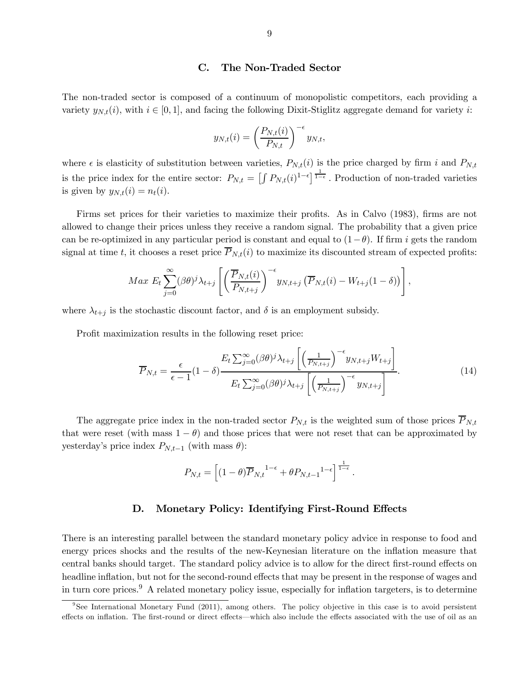#### C. The Non-Traded Sector

The non-traded sector is composed of a continuum of monopolistic competitors, each providing a variety  $y_{N,t}(i)$ , with  $i \in [0,1]$ , and facing the following Dixit-Stiglitz aggregate demand for variety i:

$$
y_{N,t}(i) = \left(\frac{P_{N,t}(i)}{P_{N,t}}\right)^{-\epsilon} y_{N,t},
$$

where  $\epsilon$  is elasticity of substitution between varieties,  $P_{N,t}(i)$  is the price charged by firm *i* and  $P_{N,t}$ is the price index for the entire sector:  $P_{N,t} = \left[\int P_{N,t}(i)^{1-\epsilon}\right]^{\frac{1}{1-\epsilon}}$ . Production of non-traded varieties is given by  $y_{N,t}(i) = n_t(i)$ .

Firms set prices for their varieties to maximize their profits. As in Calvo (1983), firms are not allowed to change their prices unless they receive a random signal. The probability that a given price can be re-optimized in any particular period is constant and equal to  $(1-\theta)$ . If firm *i* gets the random signal at time t, it chooses a reset price  $P_{N,t}(i)$  to maximize its discounted stream of expected profits:

$$
Max E_t \sum_{j=0}^{\infty} (\beta \theta)^j \lambda_{t+j} \left[ \left( \frac{\overline{P}_{N,t}(i)}{P_{N,t+j}} \right)^{-\epsilon} y_{N,t+j} \left( \overline{P}_{N,t}(i) - W_{t+j}(1-\delta) \right) \right],
$$

where  $\lambda_{t+j}$  is the stochastic discount factor, and  $\delta$  is an employment subsidy.

Profit maximization results in the following reset price:

$$
\overline{P}_{N,t} = \frac{\epsilon}{\epsilon - 1} (1 - \delta) \frac{E_t \sum_{j=0}^{\infty} (\beta \theta)^j \lambda_{t+j} \left[ \left( \frac{1}{P_{N,t+j}} \right)^{-\epsilon} y_{N,t+j} W_{t+j} \right]}{E_t \sum_{j=0}^{\infty} (\beta \theta)^j \lambda_{t+j} \left[ \left( \frac{1}{P_{N,t+j}} \right)^{-\epsilon} y_{N,t+j} \right]}.
$$
(14)

The aggregate price index in the non-traded sector  $P_{N,t}$  is the weighted sum of those prices  $\overline{P}_{N,t}$ that were reset (with mass  $1 - \theta$ ) and those prices that were not reset that can be approximated by yesterday's price index  $P_{N,t-1}$  (with mass  $\theta$ ):

$$
P_{N,t} = \left[ (1-\theta)\overline{P}_{N,t}^{1-\epsilon} + \theta P_{N,t-1}^{1-\epsilon} \right]^{\frac{1}{1-\epsilon}}.
$$

## D. Monetary Policy: Identifying First-Round Effects

There is an interesting parallel between the standard monetary policy advice in response to food and energy prices shocks and the results of the new-Keynesian literature on the inflation measure that central banks should target. The standard policy advice is to allow for the direct first-round effects on headline inflation, but not for the second-round effects that may be present in the response of wages and in turn core prices.<sup>9</sup> A related monetary policy issue, especially for inflation targeters, is to determine

<sup>&</sup>lt;sup>9</sup>See International Monetary Fund (2011), among others. The policy objective in this case is to avoid persistent effects on inflation. The first-round or direct effects–which also include the effects associated with the use of oil as an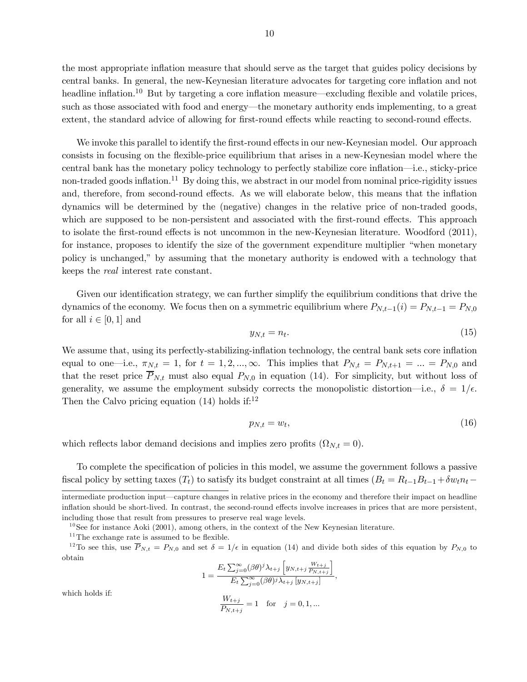the most appropriate inflation measure that should serve as the target that guides policy decisions by central banks. In general, the new-Keynesian literature advocates for targeting core inflation and not headline inflation.<sup>10</sup> But by targeting a core inflation measure—excluding flexible and volatile prices, such as those associated with food and energy–the monetary authority ends implementing, to a great extent, the standard advice of allowing for first-round effects while reacting to second-round effects.

We invoke this parallel to identify the first-round effects in our new-Keynesian model. Our approach consists in focusing on the flexible-price equilibrium that arises in a new-Keynesian model where the central bank has the monetary policy technology to perfectly stabilize core inflation–i.e., sticky-price non-traded goods inflation.<sup>11</sup> By doing this, we abstract in our model from nominal price-rigidity issues and, therefore, from second-round effects. As we will elaborate below, this means that the inflation dynamics will be determined by the (negative) changes in the relative price of non-traded goods, which are supposed to be non-persistent and associated with the first-round effects. This approach to isolate the first-round effects is not uncommon in the new-Keynesian literature. Woodford (2011), for instance, proposes to identify the size of the government expenditure multiplier "when monetary policy is unchanged," by assuming that the monetary authority is endowed with a technology that keeps the real interest rate constant.

Given our identification strategy, we can further simplify the equilibrium conditions that drive the dynamics of the economy. We focus then on a symmetric equilibrium where  $P_{N,t-1}(i) = P_{N,t-1} = P_{N,0}$ for all  $i \in [0,1]$  and

$$
y_{N,t} = n_t. \tag{15}
$$

We assume that, using its perfectly-stabilizing-inflation technology, the central bank sets core inflation equal to one—i.e.,  $\pi_{N,t} = 1$ , for  $t = 1, 2, ..., \infty$ . This implies that  $P_{N,t} = P_{N,t+1} = ... = P_{N,0}$  and that the reset price  $\overline{P}_{N,t}$  must also equal  $P_{N,0}$  in equation (14). For simplicity, but without loss of generality, we assume the employment subsidy corrects the monopolistic distortion—i.e.,  $\delta = 1/\epsilon$ . Then the Calvo pricing equation  $(14)$  holds if:<sup>12</sup>

$$
p_{N,t} = w_t,\tag{16}
$$

which reflects labor demand decisions and implies zero profits  $(\Omega_{N,t}=0)$ .

To complete the specification of policies in this model, we assume the government follows a passive fiscal policy by setting taxes  $(T_t)$  to satisfy its budget constraint at all times  $(B_t = R_{t-1}B_{t-1} + \delta w_t n_t -$ 

$$
1 = \frac{E_t \sum_{j=0}^{\infty} (\beta \theta)^j \lambda_{t+j} \left[ y_{N,t+j} \frac{W_{t+j}}{P_{N,t+j}} \right]}{E_t \sum_{j=0}^{\infty} (\beta \theta)^j \lambda_{t+j} \left[ y_{N,t+j} \right]},
$$

 $\frac{m_{t+j}}{P_{N,t+j}} = 1$  for  $j = 0, 1, ...$ 

which holds if:

$$
f_{\rm{max}}
$$

10

intermediate production input–capture changes in relative prices in the economy and therefore their impact on headline inflation should be short-lived. In contrast, the second-round effects involve increases in prices that are more persistent, including those that result from pressures to preserve real wage levels.

 $10$  See for instance Aoki (2001), among others, in the context of the New Keynesian literature.

 $11$ The exchange rate is assumed to be flexible.

<sup>&</sup>lt;sup>12</sup>To see this, use  $\overline{P}_{N,t} = P_{N,0}$  and set  $\delta = 1/\epsilon$  in equation (14) and divide both sides of this equation by  $P_{N,0}$  to obtain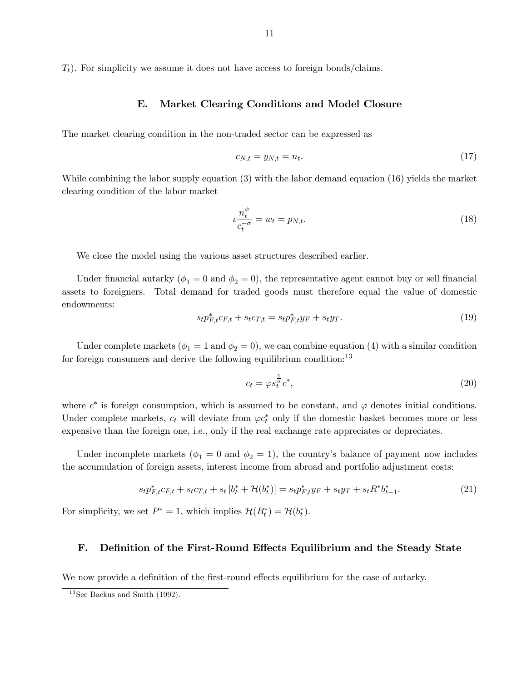$(T_t)$ . For simplicity we assume it does not have access to foreign bonds/claims.

# E. Market Clearing Conditions and Model Closure

The market clearing condition in the non-traded sector can be expressed as

$$
c_{N,t} = y_{N,t} = n_t. \tag{17}
$$

While combining the labor supply equation (3) with the labor demand equation (16) yields the market clearing condition of the labor market

$$
\iota \frac{n_t^{\psi}}{c_t^{-\sigma}} = w_t = p_{N,t}.\tag{18}
$$

We close the model using the various asset structures described earlier.

Under financial autarky ( $\phi_1 = 0$  and  $\phi_2 = 0$ ), the representative agent cannot buy or sell financial assets to foreigners. Total demand for traded goods must therefore equal the value of domestic endowments:

$$
s_t p_{F,t}^* c_{F,t} + s_t c_{T,t} = s_t p_{F,t}^* y_F + s_t y_T.
$$
\n(19)

Under complete markets ( $\phi_1 = 1$  and  $\phi_2 = 0$ ), we can combine equation (4) with a similar condition for foreign consumers and derive the following equilibrium condition:<sup>13</sup>

$$
c_t = \varphi s_t^{\frac{1}{\sigma}} c^*,\tag{20}
$$

where  $c^*$  is foreign consumption, which is assumed to be constant, and  $\varphi$  denotes initial conditions. Under complete markets,  $c_t$  will deviate from  $\varphi c_t^*$  only if the domestic basket becomes more or less expensive than the foreign one, i.e., only if the real exchange rate appreciates or depreciates.

Under incomplete markets ( $\phi_1 = 0$  and  $\phi_2 = 1$ ), the country's balance of payment now includes the accumulation of foreign assets, interest income from abroad and portfolio adjustment costs:

$$
s_t p_{F,t}^* c_{F,t} + s_t c_{T,t} + s_t [b_t^* + \mathcal{H}(b_t^*)] = s_t p_{F,t}^* y_F + s_t y_T + s_t R^* b_{t-1}^*.
$$
 (21)

For simplicity, we set  $P^* = 1$ , which implies  $\mathcal{H}(B_t^*) = \mathcal{H}(b_t^*)$ .

## F. Definition of the First-Round Effects Equilibrium and the Steady State

We now provide a definition of the first-round effects equilibrium for the case of autarky.

 $^{13}\mathrm{See}$  Backus and Smith (1992).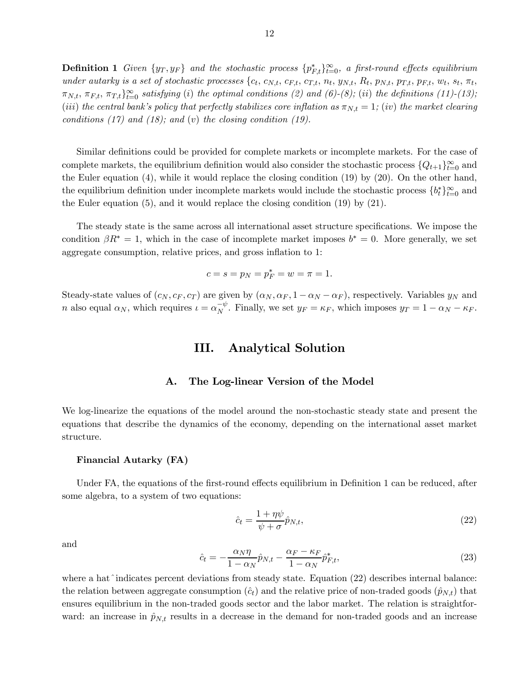12

**Definition 1** Given  $\{y_T, y_F\}$  and the stochastic process  $\{p_{F,t}^*\}_{t=0}^\infty$ , a first-round effects equilibrium under autarky is a set of stochastic processes {  $\pi_{N,t}, \pi_{F,t}, \pi_{T,t}\}_{t=0}^{\infty}$  satisfying (i) the optimal conditions (2) and (6)-(8); (ii) the definitions (11)-(13); (iii) the central bank's policy that perfectly stabilizes core inflation as  $\pi_{N,t} = 1$ ; (iv) the market clearing conditions (17) and (18); and (v) the closing condition (19).

Similar definitions could be provided for complete markets or incomplete markets. For the case of complete markets, the equilibrium definition would also consider the stochastic process  $\{Q_{t+1}\}_{t=0}^{\infty}$  and the Euler equation (4), while it would replace the closing condition (19) by (20). On the other hand, the equilibrium definition under incomplete markets would include the stochastic process  $\{b_t^*\}_{t=0}^{\infty}$  and the Euler equation (5), and it would replace the closing condition (19) by (21).

The steady state is the same across all international asset structure specifications. We impose the condition  $\beta R^* = 1$ , which in the case of incomplete market imposes  $b^* = 0$ . More generally, we set aggregate consumption, relative prices, and gross inflation to 1:

$$
c = s = p_N = p_F^* = w = \pi = 1.
$$

Steady-state values of  $(c_N, c_F, c_T)$  are given by  $(\alpha_N, \alpha_F, 1 - \alpha_N - \alpha_F)$ , respectively. Variables  $y_N$  and *n* also equal  $\alpha_N$ , which requires  $\iota = \alpha_N^{-\psi}$ . Finally, we set  $y_F = \kappa_F$ , which imposes  $y_T = 1 - \alpha_N - \kappa_F$ .

# III. Analytical Solution

## A. The Log-linear Version of the Model

We log-linearize the equations of the model around the non-stochastic steady state and present the equations that describe the dynamics of the economy, depending on the international asset market structure.

#### Financial Autarky (FA)

Under FA, the equations of the first-round effects equilibrium in Definition 1 can be reduced, after some algebra, to a system of two equations:

$$
\hat{c}_t = \frac{1 + \eta \psi}{\psi + \sigma} \hat{p}_{N,t},\tag{22}
$$

and

$$
\hat{c}_t = -\frac{\alpha_N \eta}{1 - \alpha_N} \hat{p}_{N,t} - \frac{\alpha_F - \kappa_F}{1 - \alpha_N} \hat{p}_{F,t}^*,
$$
\n(23)

where a hat^indicates percent deviations from steady state. Equation (22) describes internal balance: the relation between aggregate consumption  $(\hat{c}_t)$  and the relative price of non-traded goods  $(\hat{p}_{N,t})$  that ensures equilibrium in the non-traded goods sector and the labor market. The relation is straightforward: an increase in  $\hat{p}_{N,t}$  results in a decrease in the demand for non-traded goods and an increase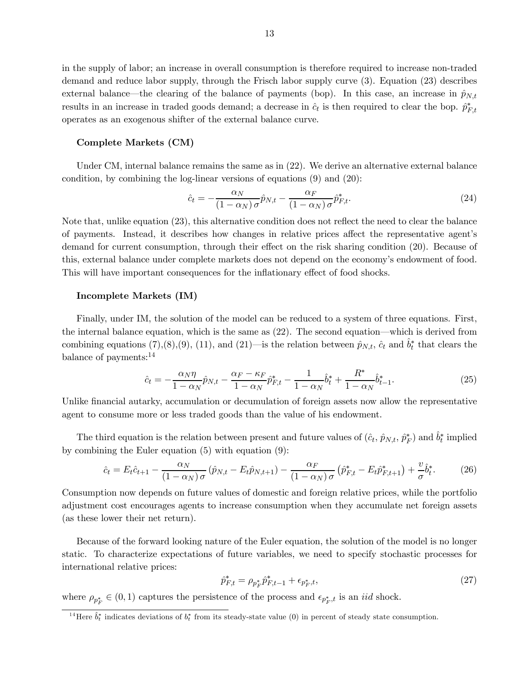in the supply of labor; an increase in overall consumption is therefore required to increase non-traded demand and reduce labor supply, through the Frisch labor supply curve (3). Equation (23) describes external balance—the clearing of the balance of payments (bop). In this case, an increase in  $\hat{p}_{N,t}$ results in an increase in traded goods demand; a decrease in  $\hat{c}_t$  is then required to clear the bop.  $\hat{p}_{F,t}^*$ operates as an exogenous shifter of the external balance curve.

### Complete Markets (CM)

Under CM, internal balance remains the same as in (22). We derive an alternative external balance condition, by combining the log-linear versions of equations (9) and (20):

$$
\hat{c}_t = -\frac{\alpha_N}{(1 - \alpha_N)\sigma} \hat{p}_{N,t} - \frac{\alpha_F}{(1 - \alpha_N)\sigma} \hat{p}_{F,t}^*.
$$
\n(24)

Note that, unlike equation (23), this alternative condition does not reflect the need to clear the balance of payments. Instead, it describes how changes in relative prices affect the representative agent's demand for current consumption, through their effect on the risk sharing condition (20). Because of this, external balance under complete markets does not depend on the economy's endowment of food. This will have important consequences for the inflationary effect of food shocks.

#### Incomplete Markets (IM)

Finally, under IM, the solution of the model can be reduced to a system of three equations. First, the internal balance equation, which is the same as (22). The second equation–which is derived from combining equations (7),(8),(9), (11), and (21)—is the relation between  $\hat{p}_{N,t}$ ,  $\hat{c}_t$  and  $\hat{b}_t^*$  that clears the balance of payments:14

$$
\hat{c}_t = -\frac{\alpha_N \eta}{1 - \alpha_N} \hat{p}_{N,t} - \frac{\alpha_F - \kappa_F}{1 - \alpha_N} \hat{p}_{F,t}^* - \frac{1}{1 - \alpha_N} \hat{b}_t^* + \frac{R^*}{1 - \alpha_N} \hat{b}_{t-1}^*.
$$
\n(25)

Unlike financial autarky, accumulation or decumulation of foreign assets now allow the representative agent to consume more or less traded goods than the value of his endowment.

The third equation is the relation between present and future values of  $(\hat{c}_t, \hat{p}_{N,t}, \hat{p}_F^*)$  and  $\hat{b}_t^*$  implied by combining the Euler equation (5) with equation (9):

$$
\hat{c}_t = E_t \hat{c}_{t+1} - \frac{\alpha_N}{(1 - \alpha_N)\sigma} \left( \hat{p}_{N,t} - E_t \hat{p}_{N,t+1} \right) - \frac{\alpha_F}{(1 - \alpha_N)\sigma} \left( \hat{p}_{F,t}^* - E_t \hat{p}_{F,t+1}^* \right) + \frac{v}{\sigma} \hat{b}_t^*.
$$
(26)

Consumption now depends on future values of domestic and foreign relative prices, while the portfolio adjustment cost encourages agents to increase consumption when they accumulate net foreign assets (as these lower their net return).

Because of the forward looking nature of the Euler equation, the solution of the model is no longer static. To characterize expectations of future variables, we need to specify stochastic processes for international relative prices:

$$
\hat{p}_{F,t}^* = \rho_{p_F^*} \hat{p}_{F,t-1}^* + \epsilon_{p_F^*,t},\tag{27}
$$

where  $\rho_{p_F^*} \in (0, 1)$  captures the persistence of the process and  $\epsilon_{p_F^*,t}$  is an *iid* shock.

<sup>&</sup>lt;sup>14</sup>Here  $\hat{b}_t^*$  indicates deviations of  $b_t^*$  from its steady-state value (0) in percent of steady state consumption.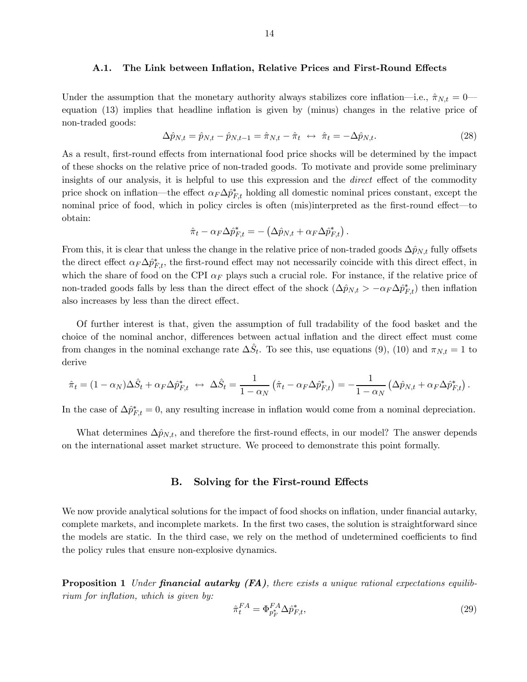#### A.1. The Link between Inflation, Relative Prices and First-Round Effects

Under the assumption that the monetary authority always stabilizes core inflation—i.e.,  $\hat{\pi}_{N,t} = 0$  equation (13) implies that headline inflation is given by (minus) changes in the relative price of non-traded goods:

$$
\Delta \hat{p}_{N,t} = \hat{p}_{N,t} - \hat{p}_{N,t-1} = \hat{\pi}_{N,t} - \hat{\pi}_t \leftrightarrow \hat{\pi}_t = -\Delta \hat{p}_{N,t}.
$$
\n(28)

As a result, first-round effects from international food price shocks will be determined by the impact of these shocks on the relative price of non-traded goods. To motivate and provide some preliminary insights of our analysis, it is helpful to use this expression and the direct effect of the commodity price shock on inflation—the effect  $\alpha_F \Delta \hat{p}_{F,t}^*$  holding all domestic nominal prices constant, except the nominal price of food, which in policy circles is often (mis)interpreted as the first-round effect–to obtain:

$$
\hat{\pi}_t - \alpha_F \Delta \hat{p}_{F,t}^* = - \left( \Delta \hat{p}_{N,t} + \alpha_F \Delta \hat{p}_{F,t}^* \right).
$$

From this, it is clear that unless the change in the relative price of non-traded goods  $\Delta \hat{p}_{N,t}$  fully offsets the direct effect  $\alpha_F \Delta \hat{p}_{F,t}^*$ , the first-round effect may not necessarily coincide with this direct effect, in which the share of food on the CPI  $\alpha_F$  plays such a crucial role. For instance, if the relative price of non-traded goods falls by less than the direct effect of the shock  $(\Delta \hat{p}_{N,t} > -\alpha_F \Delta \hat{p}_{F,t}^*)$  then inflation also increases by less than the direct effect.

Of further interest is that, given the assumption of full tradability of the food basket and the choice of the nominal anchor, differences between actual inflation and the direct effect must come from changes in the nominal exchange rate  $\Delta \hat{S}_t$ . To see this, use equations (9), (10) and  $\pi_{N,t} = 1$  to derive

$$
\hat{\pi}_t = (1 - \alpha_N) \Delta \hat{S}_t + \alpha_F \Delta \hat{p}_{F,t}^* \leftrightarrow \Delta \hat{S}_t = \frac{1}{1 - \alpha_N} (\hat{\pi}_t - \alpha_F \Delta \hat{p}_{F,t}^*) = -\frac{1}{1 - \alpha_N} (\Delta \hat{p}_{N,t} + \alpha_F \Delta \hat{p}_{F,t}^*) .
$$

In the case of  $\Delta \hat{p}_{F,t}^* = 0$ , any resulting increase in inflation would come from a nominal depreciation.

What determines  $\Delta p_{N,t}$ , and therefore the first-round effects, in our model? The answer depends on the international asset market structure. We proceed to demonstrate this point formally.

## B. Solving for the First-round Effects

We now provide analytical solutions for the impact of food shocks on inflation, under financial autarky, complete markets, and incomplete markets. In the first two cases, the solution is straightforward since the models are static. In the third case, we rely on the method of undetermined coefficients to find the policy rules that ensure non-explosive dynamics.

**Proposition 1** Under **financial autarky (FA)**, there exists a unique rational expectations equilibrium for inflation, which is given by:

$$
\hat{\pi}_t^{FA} = \Phi_{p_F^*}^{FA} \Delta \hat{p}_{F,t}^*,\tag{29}
$$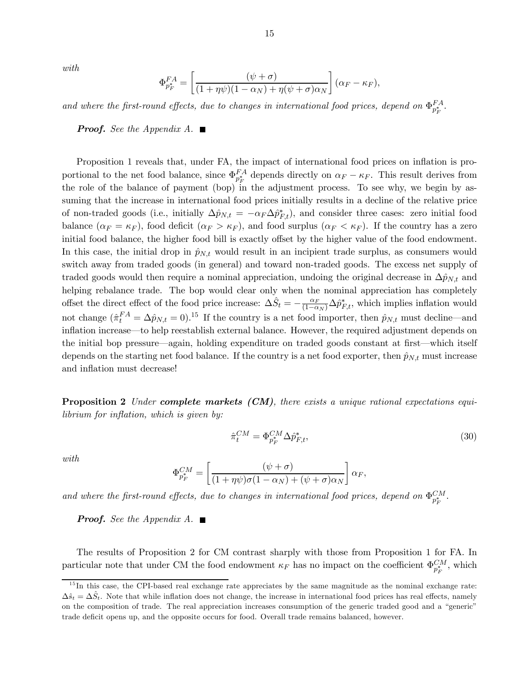with

$$
\Phi_{p_F^*}^{FA} = \left[ \frac{(\psi + \sigma)}{(1 + \eta \psi)(1 - \alpha_N) + \eta(\psi + \sigma)\alpha_N} \right] (\alpha_F - \kappa_F),
$$

and where the first-round effects, due to changes in international food prices, depend on  $\Phi_{p_F^*}^{FA}$ .

**Proof.** See the Appendix A.  $\blacksquare$ 

Proposition 1 reveals that, under FA, the impact of international food prices on inflation is proportional to the net food balance, since  $\Phi_{p_F^*}^{FA}$  depends directly on  $\alpha_F - \kappa_F$ . This result derives from the role of the balance of payment (bop) in the adjustment process. To see why, we begin by assuming that the increase in international food prices initially results in a decline of the relative price of non-traded goods (i.e., initially  $\Delta \hat{p}_{N,t} = -\alpha_F \Delta \hat{p}_{F,t}^*$ ), and consider three cases: zero initial food balance  $(\alpha_F = \kappa_F)$ , food deficit  $(\alpha_F > \kappa_F)$ , and food surplus  $(\alpha_F < \kappa_F)$ . If the country has a zero initial food balance, the higher food bill is exactly offset by the higher value of the food endowment. In this case, the initial drop in  $\hat{p}_{N,t}$  would result in an incipient trade surplus, as consumers would switch away from traded goods (in general) and toward non-traded goods. The excess net supply of traded goods would then require a nominal appreciation, undoing the original decrease in  $\Delta \hat{p}_{N,t}$  and helping rebalance trade. The bop would clear only when the nominal appreciation has completely offset the direct effect of the food price increase:  $\Delta \hat{S}_t = -\frac{\alpha_F}{(1-\alpha_N)} \Delta \hat{p}_{F,t}^*$ , which implies inflation would not change  $(\hat{\pi}_t^{FA} = \Delta \hat{p}_{N,t} = 0)^{15}$  If the country is a net food importer, then  $\hat{p}_{N,t}$  must decline—and inflation increase–to help reestablish external balance. However, the required adjustment depends on the initial bop pressure–again, holding expenditure on traded goods constant at first–which itself depends on the starting net food balance. If the country is a net food exporter, then  $\hat{p}_{N,t}$  must increase and inflation must decrease!

**Proposition 2** Under **complete markets (CM)**, there exists a unique rational expectations equilibrium for inflation, which is given by:

$$
\hat{\pi}_t^{CM} = \Phi_{p_F^*}^{CM} \Delta \hat{p}_{F,t}^*,\tag{30}
$$

with

$$
\Phi_{p_F^*}^{CM} = \left[ \frac{(\psi + \sigma)}{(1 + \eta \psi)\sigma (1 - \alpha_N) + (\psi + \sigma)\alpha_N} \right] \alpha_F,
$$

and where the first-round effects, due to changes in international food prices, depend on  $\Phi_{p_F^*}^{CM}$ .

**Proof.** See the Appendix A.  $\blacksquare$ 

The results of Proposition 2 for CM contrast sharply with those from Proposition 1 for FA. In particular note that under CM the food endowment  $\kappa_F$  has no impact on the coefficient  $\Phi_{p_F^*}^{CM}$ , which

 $15$  In this case, the CPI-based real exchange rate appreciates by the same magnitude as the nominal exchange rate:  $\Delta \hat{s}_t = \Delta \hat{S}_t$ . Note that while inflation does not change, the increase in international food prices has real effects, namely on the composition of trade. The real appreciation increases consumption of the generic traded good and a "generic" trade deficit opens up, and the opposite occurs for food. Overall trade remains balanced, however.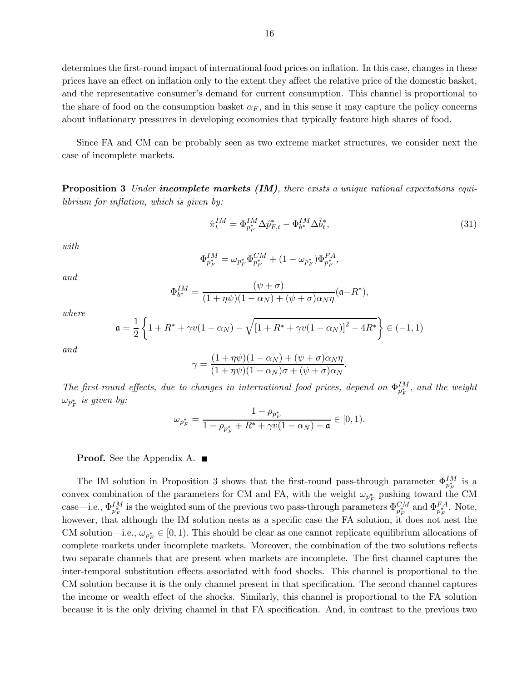determines the first-round impact of international food prices on inflation. In this case, changes in these prices have an effect on inflation only to the extent they affect the relative price of the domestic basket, and the representative consumer's demand for current consumption. This channel is proportional to the share of food on the consumption basket  $\alpha_F$ , and in this sense it may capture the policy concerns about inflationary pressures in developing economies that typically feature high shares of food.

Since FA and CM can be probably seen as two extreme market structures, we consider next the case of incomplete markets.

**Proposition 3** Under **incomplete markets (IM)**, there exists a unique rational expectations equilibrium for inflation, which is given by:

$$
\hat{\pi}_t^{IM} = \Phi_{p_F^*}^{IM} \Delta \hat{p}_{F,t}^* - \Phi_{b^*}^{IM} \Delta \hat{b}_t^*,
$$
\n(31)

with

$$
\Phi_{p_{F}^{*}}^{IM}=\omega_{p_{F}^{*}}\Phi_{p_{F}^{*}}^{CM}+(1-\omega_{p_{F}^{*}})\Phi_{p_{F}^{*}}^{FA},
$$

and

$$
\Phi_{b^*}^{IM} = \frac{(\psi + \sigma)}{(1 + \eta \psi)(1 - \alpha_N) + (\psi + \sigma)\alpha_N \eta} (\mathfrak{a} - R^*),
$$

where

$$
\mathfrak{a} = \frac{1}{2} \left\{ 1 + R^* + \gamma v (1 - \alpha_N) - \sqrt{[1 + R^* + \gamma v (1 - \alpha_N)]^2 - 4R^*} \right\} \in (-1, 1)
$$

and

$$
\gamma = \frac{(1 + \eta\psi)(1 - \alpha_N) + (\psi + \sigma)\alpha_N\eta}{(1 + \eta\psi)(1 - \alpha_N)\sigma + (\psi + \sigma)\alpha_N}.
$$

The first-round effects, due to changes in international food prices, depend on  $\Phi_{p_F^*}^{IM}$ , and the weight  $\omega_{p_{F}^{*}}$  is given by:

$$
\omega_{p_F^*} = \frac{1 - \rho_{p_F^*}}{1 - \rho_{p_F^*} + R^* + \gamma v (1 - \alpha_N) - \mathfrak{a}} \in [0, 1).
$$

**Proof.** See the Appendix A. ■

The IM solution in Proposition 3 shows that the first-round pass-through parameter  $\Phi_{p_F^*}^{IM}$  is a convex combination of the parameters for CM and FA, with the weight  $\omega_{p_F^*}$  pushing toward the CM case—i.e.,  $\Phi_{p_F^*}^{IM}$  is the weighted sum of the previous two pass-through parameters  $\Phi_{p_F^*}^{CM}$  and  $\Phi_{p_F^*}^{FA}$ . Note, however, that although the IM solution nests as a specific case the FA solution, it does not nest the CM solution—i.e.,  $\omega_{p_F^*} \in [0, 1)$ . This should be clear as one cannot replicate equilibrium allocations of complete markets under incomplete markets. Moreover, the combination of the two solutions reflects two separate channels that are present when markets are incomplete. The first channel captures the inter-temporal substitution effects associated with food shocks. This channel is proportional to the CM solution because it is the only channel present in that specification. The second channel captures the income or wealth effect of the shocks. Similarly, this channel is proportional to the FA solution because it is the only driving channel in that FA specification. And, in contrast to the previous two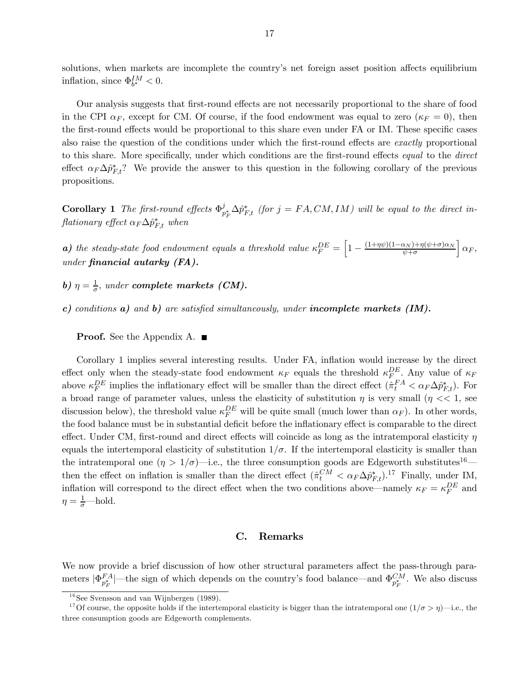solutions, when markets are incomplete the country's net foreign asset position affects equilibrium inflation, since  $\Phi_{b^*}^{IM} < 0$ .

Our analysis suggests that first-round effects are not necessarily proportional to the share of food in the CPI  $\alpha_F$ , except for CM. Of course, if the food endowment was equal to zero  $(\kappa_F = 0)$ , then the first-round effects would be proportional to this share even under FA or IM. These specific cases also raise the question of the conditions under which the first-round effects are exactly proportional to this share. More specifically, under which conditions are the first-round effects equal to the direct effect  $\alpha_F \Delta \hat{p}_{F,t}^*$ ? We provide the answer to this question in the following corollary of the previous propositions.

**Corollary 1** The first-round effects  $\Phi_{p_F^*}^j \Delta \hat{p}_{F,t}^*$  (for  $j = FA, CM, IM$ ) will be equal to the direct in- $\emph{flationary effect} ~ \alpha_F \Delta \hat{p}^*_{F,t} ~ when$ 

**a)** the steady-state food endowment equals a threshold value  $\kappa_F^{DE} = \left[1 - \frac{(1+\eta\psi)(1-\alpha_N)+\eta(\psi+\sigma)\alpha_N}{\psi+\sigma}\right]$  $\bigg|\, \alpha_F,$ under financial autarky (FA).

b)  $\eta = \frac{1}{\sigma}$ , under **complete markets** (**CM**).

c) conditions  $a)$  and  $b)$  are satisfied simultaneously, under **incomplete markets (IM).** 

**Proof.** See the Appendix A. ■

Corollary 1 implies several interesting results. Under FA, inflation would increase by the direct effect only when the steady-state food endowment  $\kappa_F$  equals the threshold  $\kappa_F^{DE}$ . Any value of  $\kappa_F$ above  $\kappa_F^{DE}$  implies the inflationary effect will be smaller than the direct effect  $(\hat{\pi}_t^{FA} < \alpha_F \Delta \hat{p}_{F,t}^*)$ . For a broad range of parameter values, unless the elasticity of substitution  $\eta$  is very small ( $\eta \ll 1$ , see discussion below), the threshold value  $\kappa_F^{DE}$  will be quite small (much lower than  $\alpha_F$ ). In other words, the food balance must be in substantial deficit before the inflationary effect is comparable to the direct effect. Under CM, first-round and direct effects will coincide as long as the intratemporal elasticity  $\eta$ equals the intertemporal elasticity of substitution  $1/\sigma$ . If the intertemporal elasticity is smaller than the intratemporal one  $(\eta > 1/\sigma)$ —i.e., the three consumption goods are Edgeworth substitutes<sup>16</sup> then the effect on inflation is smaller than the direct effect  $(\hat{\pi}_t^{CM} < \alpha_F \Delta \hat{p}_{F,t}^*)$ .<sup>17</sup> Finally, under IM, inflation will correspond to the direct effect when the two conditions above—namely  $\kappa_F = \kappa_F^{DE}$  and  $\eta = \frac{1}{\sigma}$ —hold.

# C. Remarks

We now provide a brief discussion of how other structural parameters affect the pass-through parameters  $|\Phi_{p_F^*}^{FA}|$ —the sign of which depends on the country's food balance—and  $\Phi_{p_F^*}^{CM}$ . We also discuss

 $16$ See Svensson and van Wijnbergen (1989).

<sup>&</sup>lt;sup>17</sup>Of course, the opposite holds if the intertemporal elasticity is bigger than the intratemporal one  $(1/\sigma > \eta)$ —i.e., the three consumption goods are Edgeworth complements.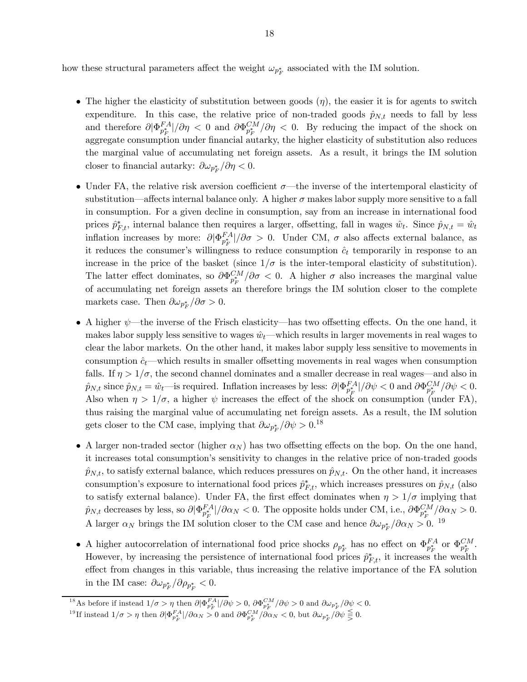how these structural parameters affect the weight  $\omega_{p_F^*}$  associated with the IM solution.

- The higher the elasticity of substitution between goods  $(\eta)$ , the easier it is for agents to switch expenditure. In this case, the relative price of non-traded goods  $\hat{p}_{N,t}$  needs to fall by less and therefore  $\partial |\Phi_{p_F^*}^{FA}|/\partial \eta < 0$  and  $\partial \Phi_{p_F^*}^{CM}/\partial \eta < 0$ . By reducing the impact of the shock on aggregate consumption under financial autarky, the higher elasticity of substitution also reduces the marginal value of accumulating net foreign assets. As a result, it brings the IM solution closer to financial autarky:  $\partial \omega_{p_F^*}/\partial \eta < 0$ .
- Under FA, the relative risk aversion coefficient  $\sigma$ —the inverse of the intertemporal elasticity of substitution—affects internal balance only. A higher  $\sigma$  makes labor supply more sensitive to a fall in consumption. For a given decline in consumption, say from an increase in international food prices  $\hat{p}_{F,t}^*$ , internal balance then requires a larger, offsetting, fall in wages  $\hat{w}_t$ . Since  $\hat{p}_{N,t} = \hat{w}_t$ inflation increases by more:  $\partial |\Phi_{p_F^*}^{FA}|/\partial \sigma > 0$ . Under CM,  $\sigma$  also affects external balance, as it reduces the consumer's willingness to reduce consumption  $\hat{c}_t$  temporarily in response to an increase in the price of the basket (since  $1/\sigma$  is the inter-temporal elasticity of substitution). The latter effect dominates, so  $\partial \Phi_{p_F^*}^{CM}/\partial \sigma < 0$ . A higher  $\sigma$  also increases the marginal value of accumulating net foreign assets an therefore brings the IM solution closer to the complete markets case. Then  $\partial \omega_{p_{F}^{*}}/\partial \sigma > 0$ .
- A higher  $\psi$ —the inverse of the Frisch elasticity—has two offsetting effects. On the one hand, it makes labor supply less sensitive to wages  $\hat{w}_t$ —which results in larger movements in real wages to clear the labor markets. On the other hand, it makes labor supply less sensitive to movements in consumption  $\hat{c}_t$ —which results in smaller offsetting movements in real wages when consumption falls. If  $\eta > 1/\sigma$ , the second channel dominates and a smaller decrease in real wages—and also in  $\hat{p}_{N,t}$  since  $\hat{p}_{N,t} = \hat{w}_t$ —is required. Inflation increases by less:  $\partial |\Phi_{p_F^*}^{FA}|/\partial \psi < 0$  and  $\partial \Phi_{p_F^*}^{CM}/\partial \psi < 0$ . Also when  $\eta > 1/\sigma$ , a higher  $\psi$  increases the effect of the shock on consumption (under FA), thus raising the marginal value of accumulating net foreign assets. As a result, the IM solution gets closer to the CM case, implying that  $\partial \omega_{p_F^*}/\partial \psi > 0.^{18}$
- A larger non-traded sector (higher  $\alpha_N$ ) has two offsetting effects on the bop. On the one hand, it increases total consumption's sensitivity to changes in the relative price of non-traded goods  $\hat{p}_{N,t}$ , to satisfy external balance, which reduces pressures on  $\hat{p}_{N,t}$ . On the other hand, it increases consumption's exposure to international food prices  $\hat{p}_{F,t}^*$ , which increases pressures on  $\hat{p}_{N,t}$  (also to satisfy external balance). Under FA, the first effect dominates when  $\eta > 1/\sigma$  implying that  $\hat{p}_{N,t}$  decreases by less, so  $\partial |\Phi_{p_F^*}^{FA}|/\partial \alpha_N < 0$ . The opposite holds under CM, i.e.,  $\partial \Phi_{p_F^*}^{CM}/\partial \alpha_N > 0$ . A larger  $\alpha_N$  brings the IM solution closer to the CM case and hence  $\partial \omega_{p_F^*}/\partial \alpha_N > 0$ . <sup>19</sup>
- A higher autocorrelation of international food price shocks  $\rho_{p_F^*}$  has no effect on  $\Phi_{p_F^*}^{FA}$  or  $\Phi_{p_F^*}^{CM}$ . However, by increasing the persistence of international food prices  $\hat{p}^*_{F,t}$ , it increases the wealth effect from changes in this variable, thus increasing the relative importance of the FA solution in the IM case:  $\partial \omega_{p_F^*}/\partial \rho_{p_F^*} < 0$ .

<sup>&</sup>lt;sup>18</sup> As before if instead  $1/\sigma > \eta$  then  $\partial |\Phi_{p_F^*}^{FA}|/\partial \psi > 0$ ,  $\partial \Phi_{p_F^*}^{CM}/\partial \psi > 0$  and  $\partial \omega_{p_F^*}/\partial \psi < 0$ .

<sup>&</sup>lt;sup>19</sup>If instead  $1/\sigma > \eta$  then  $\partial |\Phi_{p_F^*}^{FA}|/\partial \alpha_N > 0$  and  $\partial \Phi_{p_F^*}^{CM}/\partial \alpha_N < 0$ , but  $\partial \omega_{p_F^*}/\partial \psi \leqq 0$ .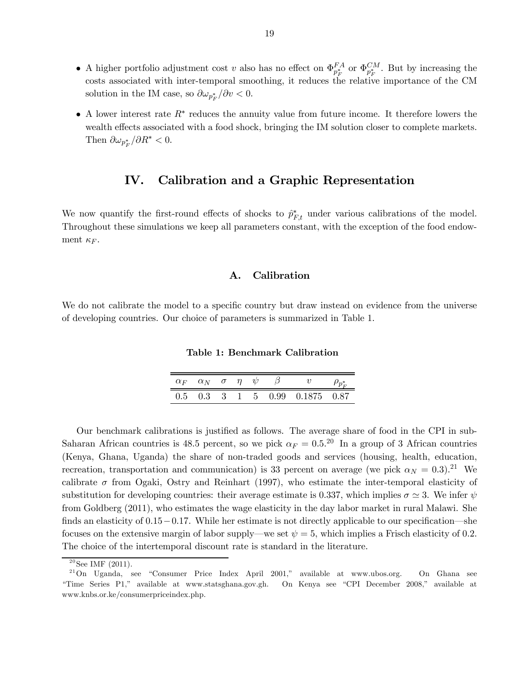- A higher portfolio adjustment cost v also has no effect on  $\Phi_{p_F^*}^{FA}$  or  $\Phi_{p_F^*}^{CM}$ . But by increasing the costs associated with inter-temporal smoothing, it reduces the relative importance of the CM solution in the IM case, so  $\partial \omega_{p_F^*}/\partial v < 0$ .
- A lower interest rate  $R^*$  reduces the annuity value from future income. It therefore lowers the wealth effects associated with a food shock, bringing the IM solution closer to complete markets. Then  $\partial \omega_{p_F^*}/\partial R^* < 0$ .

# IV. Calibration and a Graphic Representation

We now quantify the first-round effects of shocks to  $\hat{p}_{F,t}^*$  under various calibrations of the model. Throughout these simulations we keep all parameters constant, with the exception of the food endowment  $\kappa_F$ .

# A. Calibration

We do not calibrate the model to a specific country but draw instead on evidence from the universe of developing countries. Our choice of parameters is summarized in Table 1.

Table 1: Benchmark Calibration

|  |  |  | $\alpha_F \quad \alpha_N \quad \sigma \quad \eta \quad \psi \qquad \beta \qquad \quad v$ |  |
|--|--|--|------------------------------------------------------------------------------------------|--|
|  |  |  | 0.5 0.3 3 1 5 0.99 0.1875 0.87                                                           |  |

Our benchmark calibrations is justified as follows. The average share of food in the CPI in sub-Saharan African countries is 48.5 percent, so we pick  $\alpha_F = 0.5$ .<sup>20</sup> In a group of 3 African countries (Kenya, Ghana, Uganda) the share of non-traded goods and services (housing, health, education, recreation, transportation and communication) is 33 percent on average (we pick  $\alpha_N = 0.3$ ).<sup>21</sup> We calibrate  $\sigma$  from Ogaki, Ostry and Reinhart (1997), who estimate the inter-temporal elasticity of substitution for developing countries: their average estimate is 0.337, which implies  $\sigma \simeq 3$ . We infer  $\psi$ from Goldberg (2011), who estimates the wage elasticity in the day labor market in rural Malawi. She finds an elasticity of  $0.15-0.17$ . While her estimate is not directly applicable to our specification—she focuses on the extensive margin of labor supply—we set  $\psi = 5$ , which implies a Frisch elasticity of 0.2. The choice of the intertemporal discount rate is standard in the literature.

 $20$ See IMF (2011).

<sup>2 1</sup>On Uganda, see "Consumer Price Index April 2001," available at www.ubos.org. On Ghana see "Time Series P1," available at www.statsghana.gov.gh. On Kenya see "CPI December 2008," available at www.knbs.or.ke/consumerpriceindex.php.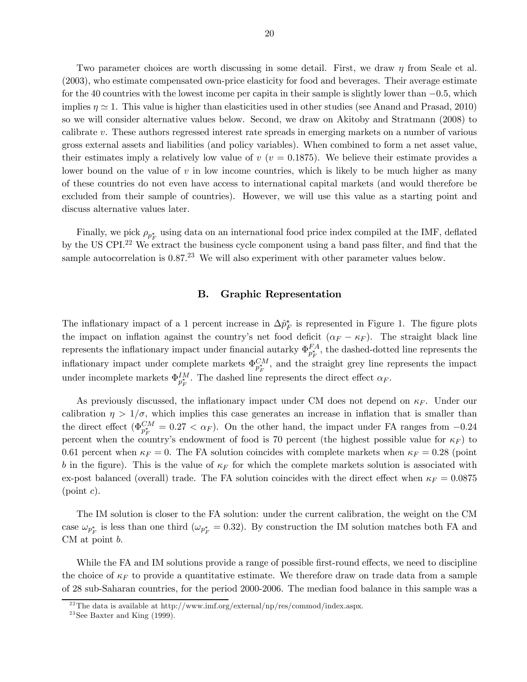Two parameter choices are worth discussing in some detail. First, we draw  $\eta$  from Seale et al. (2003), who estimate compensated own-price elasticity for food and beverages. Their average estimate for the 40 countries with the lowest income per capita in their sample is slightly lower than −05, which implies  $\eta \simeq 1$ . This value is higher than elasticities used in other studies (see Anand and Prasad, 2010) so we will consider alternative values below. Second, we draw on Akitoby and Stratmann (2008) to calibrate  $v$ . These authors regressed interest rate spreads in emerging markets on a number of various gross external assets and liabilities (and policy variables). When combined to form a net asset value, their estimates imply a relatively low value of  $v$  ( $v = 0.1875$ ). We believe their estimate provides a lower bound on the value of  $v$  in low income countries, which is likely to be much higher as many of these countries do not even have access to international capital markets (and would therefore be excluded from their sample of countries). However, we will use this value as a starting point and discuss alternative values later.

Finally, we pick  $\rho_{p_F^*}$  using data on an international food price index compiled at the IMF, deflated by the US CPI.22 We extract the business cycle component using a band pass filter, and find that the sample autocorrelation is  $0.87<sup>23</sup>$  We will also experiment with other parameter values below.

## B. Graphic Representation

The inflationary impact of a 1 percent increase in  $\Delta \hat{p}_F^*$  is represented in Figure 1. The figure plots the impact on inflation against the country's net food deficit  $(\alpha_F - \kappa_F)$ . The straight black line represents the inflationary impact under financial autarky  $\Phi_{p_F^*}^{FA}$ , the dashed-dotted line represents the inflationary impact under complete markets  $\Phi_{p_F^*}^{CM}$ , and the straight grey line represents the impact under incomplete markets  $\Phi_{p_F^*}^{IM}$ . The dashed line represents the direct effect  $\alpha_F$ .

As previously discussed, the inflationary impact under CM does not depend on  $\kappa_F$ . Under our calibration  $\eta > 1/\sigma$ , which implies this case generates an increase in inflation that is smaller than the direct effect ( $\Phi_{p_F^*}^{CM} = 0.27 < \alpha_F$ ). On the other hand, the impact under FA ranges from -0.24 percent when the country's endowment of food is 70 percent (the highest possible value for  $\kappa_F$ ) to 0.61 percent when  $\kappa_F = 0$ . The FA solution coincides with complete markets when  $\kappa_F = 0.28$  (point b in the figure). This is the value of  $\kappa_F$  for which the complete markets solution is associated with ex-post balanced (overall) trade. The FA solution coincides with the direct effect when  $\kappa_F = 0.0875$  $(point c)$ .

The IM solution is closer to the FA solution: under the current calibration, the weight on the CM case  $\omega_{p_F^*}$  is less than one third ( $\omega_{p_F^*} = 0.32$ ). By construction the IM solution matches both FA and  $CM$  at point  $b$ .

While the FA and IM solutions provide a range of possible first-round effects, we need to discipline the choice of  $\kappa_F$  to provide a quantitative estimate. We therefore draw on trade data from a sample of 28 sub-Saharan countries, for the period 2000-2006. The median food balance in this sample was a

<sup>&</sup>lt;sup>22</sup>The data is available at http://www.imf.org/external/np/res/commod/index.aspx.

 $23$ See Baxter and King (1999).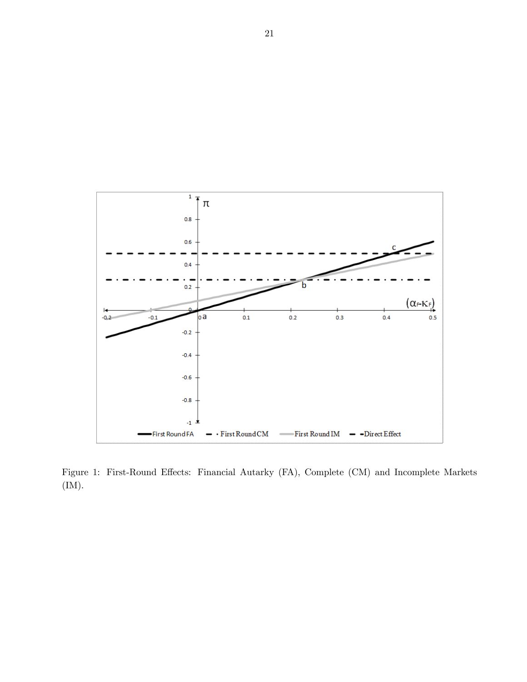

Figure 1: First-Round Effects: Financial Autarky (FA), Complete (CM) and Incomplete Markets (IM).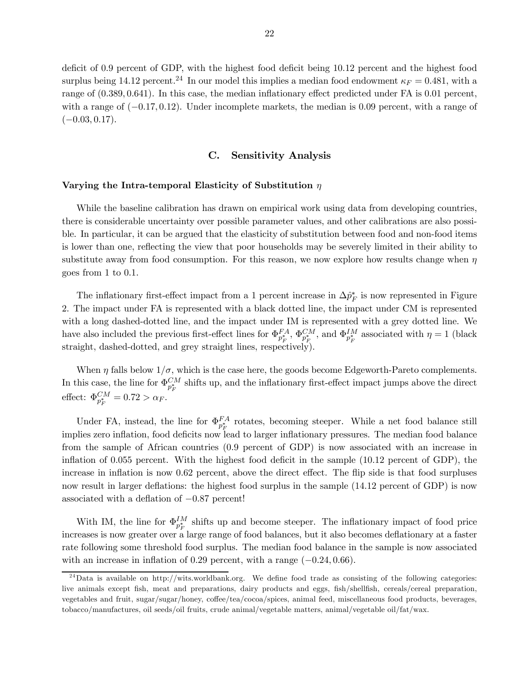deficit of 09 percent of GDP, with the highest food deficit being 1012 percent and the highest food surplus being 14.12 percent.<sup>24</sup> In our model this implies a median food endowment  $\kappa_F = 0.481$ , with a range of  $(0.389, 0.641)$ . In this case, the median inflationary effect predicted under FA is 0.01 percent, with a range of  $(-0.17, 0.12)$ . Under incomplete markets, the median is 0.09 percent, with a range of  $(-0.03, 0.17).$ 

# C. Sensitivity Analysis

#### Varying the Intra-temporal Elasticity of Substitution  $\eta$

While the baseline calibration has drawn on empirical work using data from developing countries, there is considerable uncertainty over possible parameter values, and other calibrations are also possible. In particular, it can be argued that the elasticity of substitution between food and non-food items is lower than one, reflecting the view that poor households may be severely limited in their ability to substitute away from food consumption. For this reason, we now explore how results change when  $\eta$ goes from  $1$  to  $0.1$ .

The inflationary first-effect impact from a 1 percent increase in  $\Delta \hat{p}^*_{F}$  is now represented in Figure 2. The impact under FA is represented with a black dotted line, the impact under CM is represented with a long dashed-dotted line, and the impact under IM is represented with a grey dotted line. We have also included the previous first-effect lines for  $\Phi_{p_F^*}^{FA}$ ,  $\Phi_{p_F^*}^{CM}$ , and  $\Phi_{p_F^*}^{IM}$  associated with  $\eta = 1$  (black straight, dashed-dotted, and grey straight lines, respectively).

When  $\eta$  falls below  $1/\sigma$ , which is the case here, the goods become Edgeworth-Pareto complements. In this case, the line for  $\Phi_{p_F^*}^{CM}$  shifts up, and the inflationary first-effect impact jumps above the direct effect:  $\Phi_{p_F^*}^{CM} = 0.72 > \alpha_F.$ 

Under FA, instead, the line for  $\Phi_{p_F^*}^{FA}$  rotates, becoming steeper. While a net food balance still implies zero inflation, food deficits now lead to larger inflationary pressures. The median food balance from the sample of African countries (09 percent of GDP) is now associated with an increase in inflation of 0055 percent. With the highest food deficit in the sample (1012 percent of GDP), the increase in inflation is now 062 percent, above the direct effect. The flip side is that food surpluses now result in larger deflations: the highest food surplus in the sample (1412 percent of GDP) is now associated with a deflation of  $-0.87$  percent!

With IM, the line for  $\Phi_{p_F^*}^{IM}$  shifts up and become steeper. The inflationary impact of food price increases is now greater over a large range of food balances, but it also becomes deflationary at a faster rate following some threshold food surplus. The median food balance in the sample is now associated with an increase in inflation of  $0.29$  percent, with a range  $(-0.24, 0.66)$ .

 $^{24}$ Data is available on http://wits.worldbank.org. We define food trade as consisting of the following categories: live animals except fish, meat and preparations, dairy products and eggs, fish/shellfish, cereals/cereal preparation, vegetables and fruit, sugar/sugar/honey, coffee/tea/cocoa/spices, animal feed, miscellaneous food products, beverages, tobacco/manufactures, oil seeds/oil fruits, crude animal/vegetable matters, animal/vegetable oil/fat/wax.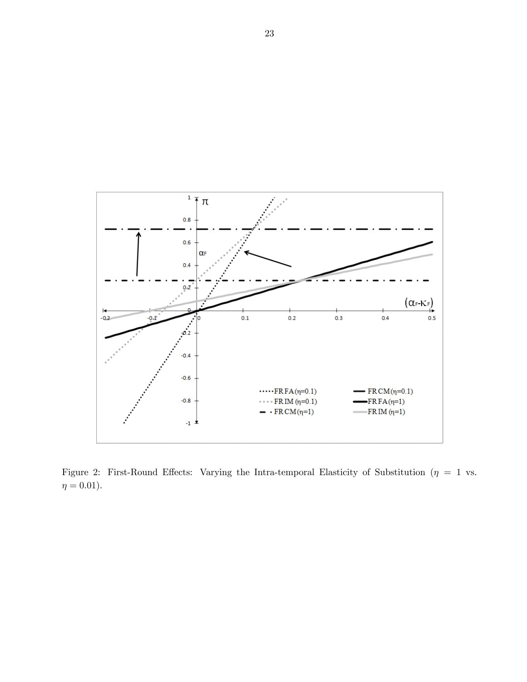

Figure 2: First-Round Effects: Varying the Intra-temporal Elasticity of Substitution ( $\eta = 1$  vs.  $\eta = 0.01$ ).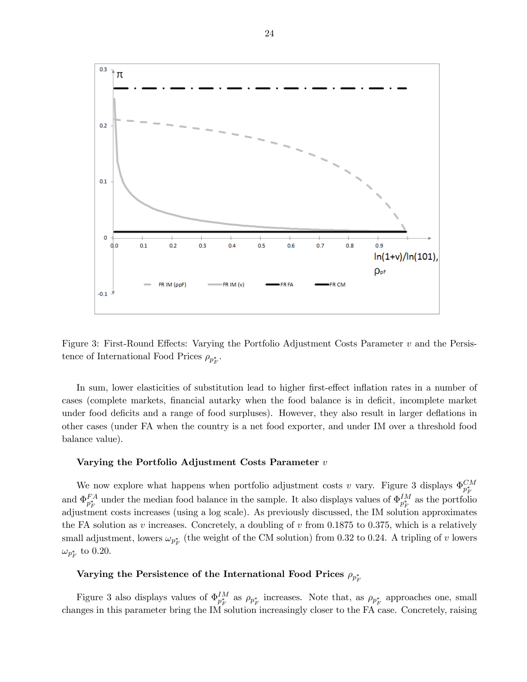

Figure 3: First-Round Effects: Varying the Portfolio Adjustment Costs Parameter  $v$  and the Persistence of International Food Prices  $\rho_{p_F^*}$ .

In sum, lower elasticities of substitution lead to higher first-effect inflation rates in a number of cases (complete markets, financial autarky when the food balance is in deficit, incomplete market under food deficits and a range of food surpluses). However, they also result in larger deflations in other cases (under FA when the country is a net food exporter, and under IM over a threshold food balance value).

#### Varying the Portfolio Adjustment Costs Parameter  $v$

We now explore what happens when portfolio adjustment costs v vary. Figure 3 displays  $\Phi_{p_F^*}^{CM}$ and  $\Phi_{p_F^*}^{FA}$  under the median food balance in the sample. It also displays values of  $\Phi_{p_F^*}^{IM}$  as the portfolio adjustment costs increases (using a log scale). As previously discussed, the IM solution approximates the FA solution as  $v$  increases. Concretely, a doubling of  $v$  from 0.1875 to 0.375, which is a relatively small adjustment, lowers  $\omega_{p_F^*}$  (the weight of the CM solution) from 0.32 to 0.24. A tripling of v lowers  $\omega_{p^*_F}$  to 0.20.

# Varying the Persistence of the International Food Prices  $\rho_{p_F^*}$

Figure 3 also displays values of  $\Phi_{p_F^*}^M$  as  $\rho_{p_F^*}$  increases. Note that, as  $\rho_{p_F^*}$  approaches one, small changes in this parameter bring the IM solution increasingly closer to the FA case. Concretely, raising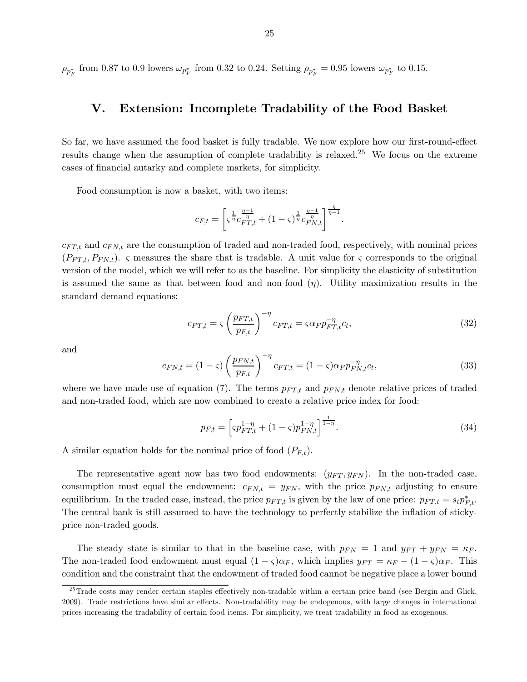$\rho_{p_F^*}$  from 0.87 to 0.9 lowers  $\omega_{p_F^*}$  from 0.32 to 0.24. Setting  $\rho_{p_F^*} = 0.95$  lowers  $\omega_{p_F^*}$  to 0.15.

# V. Extension: Incomplete Tradability of the Food Basket

So far, we have assumed the food basket is fully tradable. We now explore how our first-round-effect results change when the assumption of complete tradability is relaxed.25 We focus on the extreme cases of financial autarky and complete markets, for simplicity.

Food consumption is now a basket, with two items:

$$
c_{F,t} = \left[ \varsigma^{\frac{1}{\eta}} c_{FT,t}^{\frac{\eta-1}{\eta}} + (1-\varsigma)^{\frac{1}{\eta}} c_{FN,t}^{\frac{\eta-1}{\eta}} \right]^{\frac{\eta}{\eta-1}}.
$$

 $c_{FT,t}$  and  $c_{FN,t}$  are the consumption of traded and non-traded food, respectively, with nominal prices  $(P_{FT,t}, P_{FN,t})$ .  $\varsigma$  measures the share that is tradable. A unit value for  $\varsigma$  corresponds to the original version of the model, which we will refer to as the baseline. For simplicity the elasticity of substitution is assumed the same as that between food and non-food  $(\eta)$ . Utility maximization results in the standard demand equations:

$$
c_{FT,t} = \zeta \left(\frac{p_{FT,t}}{p_{F,t}}\right)^{-\eta} c_{FT,t} = \zeta \alpha_F p_{FT,t}^{-\eta} c_t,
$$
\n(32)

and

$$
c_{FN,t} = (1 - \varsigma) \left( \frac{p_{FN,t}}{p_{F,t}} \right)^{-\eta} c_{FT,t} = (1 - \varsigma) \alpha_F p_{FN,t}^{-\eta} c_t,
$$
\n(33)

where we have made use of equation (7). The terms  $p_{FT,t}$  and  $p_{FN,t}$  denote relative prices of traded and non-traded food, which are now combined to create a relative price index for food:

$$
p_{F,t} = \left[ \varsigma p_{FT,t}^{1-\eta} + (1-\varsigma) p_{FN,t}^{1-\eta} \right]^{\frac{1}{1-\eta}}.
$$
\n(34)

A similar equation holds for the nominal price of food  $(P_{F,t})$ .

The representative agent now has two food endowments:  $(y_{FT}, y_{FN})$ . In the non-traded case, consumption must equal the endowment:  $c_{FN,t} = y_{FN}$ , with the price  $p_{FN,t}$  adjusting to ensure equilibrium. In the traded case, instead, the price  $p_{FT,t}$  is given by the law of one price:  $p_{FT,t} = s_t p_{F,t}^*$ . The central bank is still assumed to have the technology to perfectly stabilize the inflation of stickyprice non-traded goods.

The steady state is similar to that in the baseline case, with  $p_{FN} = 1$  and  $y_{FT} + y_{FN} = \kappa_F$ . The non-traded food endowment must equal  $(1 - \varsigma)\alpha_F$ , which implies  $y_{FT} = \kappa_F - (1 - \varsigma)\alpha_F$ . This condition and the constraint that the endowment of traded food cannot be negative place a lower bound

<sup>&</sup>lt;sup>25</sup>Trade costs may render certain staples effectively non-tradable within a certain price band (see Bergin and Glick, 2009). Trade restrictions have similar effects. Non-tradability may be endogenous, with large changes in international prices increasing the tradability of certain food items. For simplicity, we treat tradability in food as exogenous.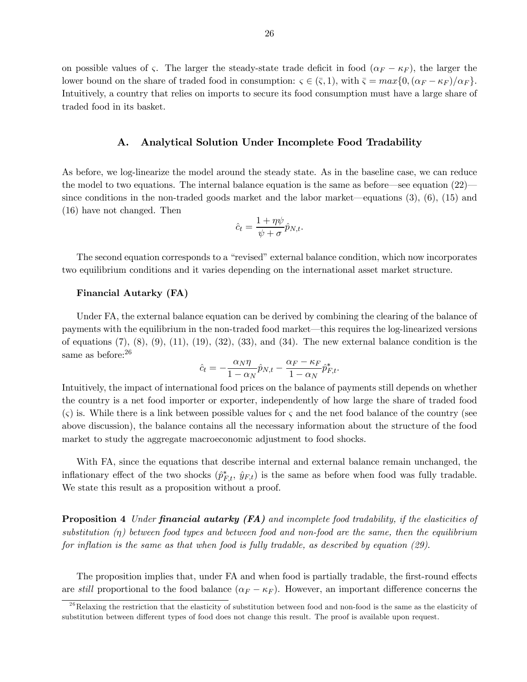on possible values of  $\varsigma$ . The larger the steady-state trade deficit in food  $(\alpha_F - \kappa_F)$ , the larger the lower bound on the share of traded food in consumption:  $\zeta \in (\bar{\zeta}, 1)$ , with  $\bar{\zeta} = max\{0, (\alpha_F - \kappa_F)/\alpha_F\}.$ Intuitively, a country that relies on imports to secure its food consumption must have a large share of traded food in its basket.

## A. Analytical Solution Under Incomplete Food Tradability

As before, we log-linearize the model around the steady state. As in the baseline case, we can reduce the model to two equations. The internal balance equation is the same as before–see equation (22)– since conditions in the non-traded goods market and the labor market–equations (3), (6), (15) and (16) have not changed. Then

$$
\hat{c}_t = \frac{1 + \eta \psi}{\psi + \sigma} \hat{p}_{N,t}.
$$

The second equation corresponds to a "revised" external balance condition, which now incorporates two equilibrium conditions and it varies depending on the international asset market structure.

### Financial Autarky (FA)

Under FA, the external balance equation can be derived by combining the clearing of the balance of payments with the equilibrium in the non-traded food market–this requires the log-linearized versions of equations  $(7)$ ,  $(8)$ ,  $(9)$ ,  $(11)$ ,  $(19)$ ,  $(32)$ ,  $(33)$ , and  $(34)$ . The new external balance condition is the same as before:  $26$ 

$$
\hat{c}_t = -\frac{\alpha_N \eta}{1 - \alpha_N} \hat{p}_{N,t} - \frac{\alpha_F - \kappa_F}{1 - \alpha_N} \hat{p}_{F,t}^*.
$$

Intuitively, the impact of international food prices on the balance of payments still depends on whether the country is a net food importer or exporter, independently of how large the share of traded food  $(\varsigma)$  is. While there is a link between possible values for  $\varsigma$  and the net food balance of the country (see above discussion), the balance contains all the necessary information about the structure of the food market to study the aggregate macroeconomic adjustment to food shocks.

With FA, since the equations that describe internal and external balance remain unchanged, the inflationary effect of the two shocks  $(\hat{p}_{F,t}^*, \hat{y}_{F,t})$  is the same as before when food was fully tradable. We state this result as a proposition without a proof.

**Proposition 4** Under **financial autarky (FA)** and incomplete food tradability, if the elasticities of substitution  $(\eta)$  between food types and between food and non-food are the same, then the equilibrium for inflation is the same as that when food is fully tradable, as described by equation  $(29)$ .

The proposition implies that, under FA and when food is partially tradable, the first-round effects are still proportional to the food balance  $(\alpha_F - \kappa_F)$ . However, an important difference concerns the

 $^{26}$ Relaxing the restriction that the elasticity of substitution between food and non-food is the same as the elasticity of substitution between different types of food does not change this result. The proof is available upon request.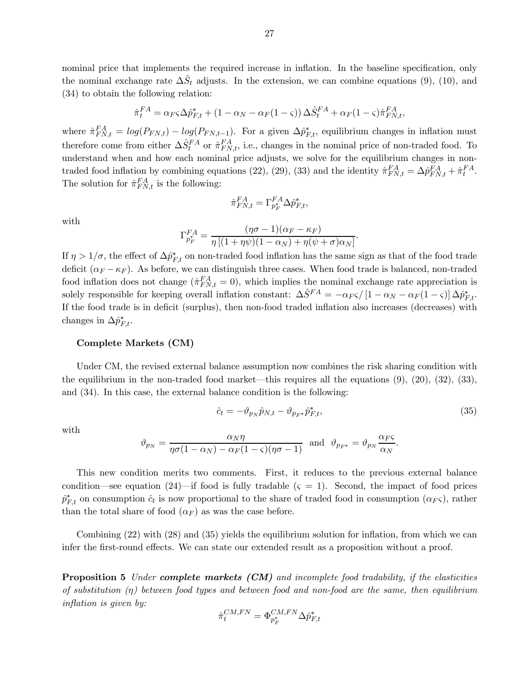nominal price that implements the required increase in inflation. In the baseline specification, only the nominal exchange rate  $\Delta \hat{S}_t$  adjusts. In the extension, we can combine equations (9), (10), and (34) to obtain the following relation:

$$
\hat{\pi}_t^{FA} = \alpha_F \varsigma \Delta \hat{p}_{F,t}^* + (1 - \alpha_N - \alpha_F (1 - \varsigma)) \Delta \hat{S}_t^{FA} + \alpha_F (1 - \varsigma) \hat{\pi}_{FN,t}^{FA},
$$

where  $\hat{\pi}_{FN,t}^{FA} = log(P_{FN,t}) - log(P_{FN,t-1})$ . For a given  $\Delta \hat{p}_{F,t}^*$ , equilibrium changes in inflation must therefore come from either  $\Delta \hat{S}_{t}^{FA}$  or  $\hat{\pi}_{FN,t}^{FA}$ , i.e., changes in the nominal price of non-traded food. To understand when and how each nominal price adjusts, we solve for the equilibrium changes in nontraded food inflation by combining equations (22), (29), (33) and the identity  $\hat{\pi}_{FN,t}^{FA} = \Delta \hat{p}_{FN,t}^{FA} + \hat{\pi}_t^{FA}$ . The solution for  $\hat{\pi}_{FN,t}^{FA}$  is the following:

$$
\hat{\pi}_{FN,t}^{FA}=\Gamma_{p_F^*}^{FA}\Delta \hat{p}_{F,t}^*,
$$

with

$$
\Gamma_{p_F^*}^{FA} = \frac{(\eta \sigma - 1)(\alpha_F - \kappa_F)}{\eta \left[ (1 + \eta \psi)(1 - \alpha_N) + \eta (\psi + \sigma) \alpha_N \right]}
$$

If  $\eta > 1/\sigma$ , the effect of  $\Delta \hat{p}_{F,t}^*$  on non-traded food inflation has the same sign as that of the food trade deficit  $(\alpha_F - \kappa_F)$ . As before, we can distinguish three cases. When food trade is balanced, non-traded food inflation does not change  $(\hat{\pi}_{FN,t}^{FA} = 0)$ , which implies the nominal exchange rate appreciation is solely responsible for keeping overall inflation constant:  $\Delta \hat{S}^{FA} = -\alpha_F \varsigma / [1 - \alpha_N - \alpha_F (1 - \varsigma)] \Delta \hat{p}_{F,t}^*$ . If the food trade is in deficit (surplus), then non-food traded inflation also increases (decreases) with changes in  $\Delta \hat{p}_{F,t}^*$ .

#### Complete Markets (CM)

Under CM, the revised external balance assumption now combines the risk sharing condition with the equilibrium in the non-traded food market—this requires all the equations  $(9)$ ,  $(20)$ ,  $(32)$ ,  $(33)$ , and (34). In this case, the external balance condition is the following:

$$
\hat{c}_t = -\vartheta_{p_N} \hat{p}_{N,t} - \vartheta_{p_{F^*}} \hat{p}_{F,t}^*,\tag{35}
$$

 $\ddot{\phantom{0}}$ 

with

$$
\vartheta_{p_N} = \frac{\alpha_N \eta}{\eta \sigma (1 - \alpha_N) - \alpha_F (1 - \varsigma) (\eta \sigma - 1)} \text{ and } \vartheta_{p_{F^*}} = \vartheta_{p_N} \frac{\alpha_F \varsigma}{\alpha_N}.
$$

This new condition merits two comments. First, it reduces to the previous external balance condition—see equation (24)—if food is fully tradable  $(\varsigma = 1)$ . Second, the impact of food prices  $\hat{p}_{F,t}^*$  on consumption  $\hat{c}_t$  is now proportional to the share of traded food in consumption  $(\alpha_F \varsigma)$ , rather than the total share of food  $(\alpha_F)$  as was the case before.

Combining (22) with (28) and (35) yields the equilibrium solution for inflation, from which we can infer the first-round effects. We can state our extended result as a proposition without a proof.

**Proposition 5** Under **complete markets (CM)** and incomplete food tradability, if the elasticities of substitution  $(\eta)$  between food types and between food and non-food are the same, then equilibrium inflation is given by:

$$
\hat{\pi}^{CM,FN}_{t} = \Phi^{CM,FN}_{p_F^*} \Delta \hat{p}^*_{F,t}
$$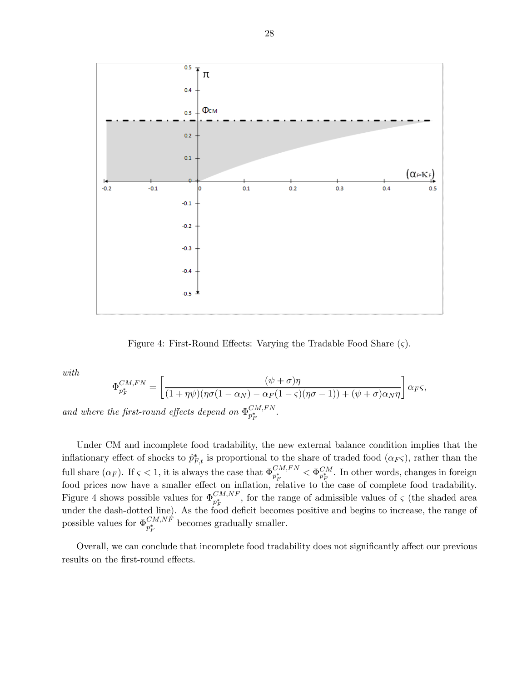

Figure 4: First-Round Effects: Varying the Tradable Food Share  $(\varsigma)$ .

with

$$
\Phi_{p_F^*}^{CM,FN} = \left[ \frac{(\psi + \sigma)\eta}{(1 + \eta \psi)(\eta \sigma (1 - \alpha_N) - \alpha_F (1 - \varsigma)(\eta \sigma - 1)) + (\psi + \sigma) \alpha_N \eta} \right] \alpha_F \varsigma,
$$
  
the first-round effects depend on  $\Phi_{n^*}^{CM,FN}$ .

and where the first-round effects depend on  $\Phi_{p_F^*}^{CM, FN}$ 

Under CM and incomplete food tradability, the new external balance condition implies that the inflationary effect of shocks to  $\hat{p}_{F,t}^*$  is proportional to the share of traded food  $(\alpha_F \varsigma)$ , rather than the full share  $(\alpha_F)$ . If  $\varsigma < 1$ , it is always the case that  $\Phi_{p_F^*}^{CM,FN} < \Phi_{p_F^*}^{CM}$ . In other words, changes in foreign food prices now have a smaller effect on inflation, relative to the case of complete food tradability. Figure 4 shows possible values for  $\Phi_{p_F^*}^{CM,NF}$ , for the range of admissible values of  $\zeta$  (the shaded area under the dash-dotted line). As the food deficit becomes positive and begins to increase, the range of possible values for  $\Phi_{p_F^*}^{CM,NF}$  becomes gradually smaller.

Overall, we can conclude that incomplete food tradability does not significantly affect our previous results on the first-round effects.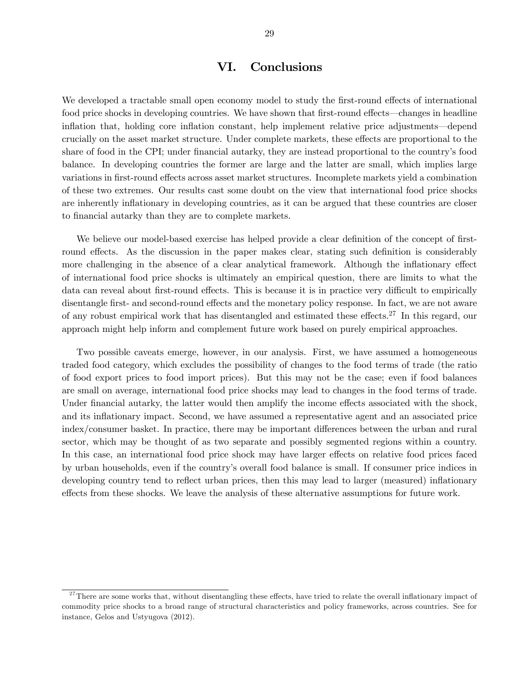# VI. Conclusions

We developed a tractable small open economy model to study the first-round effects of international food price shocks in developing countries. We have shown that first-round effects–changes in headline inflation that, holding core inflation constant, help implement relative price adjustments–depend crucially on the asset market structure. Under complete markets, these effects are proportional to the share of food in the CPI; under financial autarky, they are instead proportional to the country's food balance. In developing countries the former are large and the latter are small, which implies large variations in first-round effects across asset market structures. Incomplete markets yield a combination of these two extremes. Our results cast some doubt on the view that international food price shocks are inherently inflationary in developing countries, as it can be argued that these countries are closer to financial autarky than they are to complete markets.

We believe our model-based exercise has helped provide a clear definition of the concept of firstround effects. As the discussion in the paper makes clear, stating such definition is considerably more challenging in the absence of a clear analytical framework. Although the inflationary effect of international food price shocks is ultimately an empirical question, there are limits to what the data can reveal about first-round effects. This is because it is in practice very difficult to empirically disentangle first- and second-round effects and the monetary policy response. In fact, we are not aware of any robust empirical work that has disentangled and estimated these effects.27 In this regard, our approach might help inform and complement future work based on purely empirical approaches.

Two possible caveats emerge, however, in our analysis. First, we have assumed a homogeneous traded food category, which excludes the possibility of changes to the food terms of trade (the ratio of food export prices to food import prices). But this may not be the case; even if food balances are small on average, international food price shocks may lead to changes in the food terms of trade. Under financial autarky, the latter would then amplify the income effects associated with the shock, and its inflationary impact. Second, we have assumed a representative agent and an associated price index/consumer basket. In practice, there may be important differences between the urban and rural sector, which may be thought of as two separate and possibly segmented regions within a country. In this case, an international food price shock may have larger effects on relative food prices faced by urban households, even if the country's overall food balance is small. If consumer price indices in developing country tend to reflect urban prices, then this may lead to larger (measured) inflationary effects from these shocks. We leave the analysis of these alternative assumptions for future work.

 $27$ There are some works that, without disentangling these effects, have tried to relate the overall inflationary impact of commodity price shocks to a broad range of structural characteristics and policy frameworks, across countries. See for instance, Gelos and Ustyugova (2012).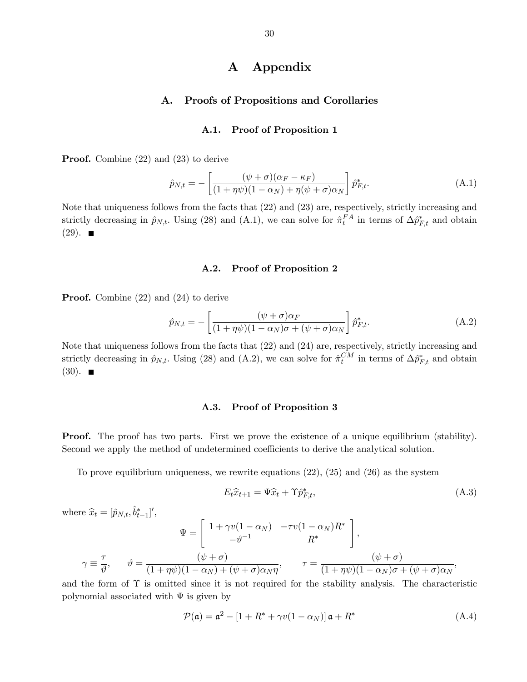# A Appendix

# A. Proofs of Propositions and Corollaries

## A.1. Proof of Proposition 1

**Proof.** Combine (22) and (23) to derive

$$
\hat{p}_{N,t} = -\left[\frac{(\psi + \sigma)(\alpha_F - \kappa_F)}{(1 + \eta\psi)(1 - \alpha_N) + \eta(\psi + \sigma)\alpha_N}\right] \hat{p}_{F,t}^*.
$$
\n(A.1)

Note that uniqueness follows from the facts that (22) and (23) are, respectively, strictly increasing and strictly decreasing in  $\hat{p}_{N,t}$ . Using (28) and (A.1), we can solve for  $\hat{\pi}_t^{FA}$  in terms of  $\Delta \hat{p}_{F,t}^*$  and obtain  $(29)$ .

## A.2. Proof of Proposition 2

Proof. Combine (22) and (24) to derive

$$
\hat{p}_{N,t} = -\left[\frac{(\psi + \sigma)\alpha_F}{(1 + \eta\psi)(1 - \alpha_N)\sigma + (\psi + \sigma)\alpha_N}\right] \hat{p}_{F,t}^*.
$$
\n(A.2)

Note that uniqueness follows from the facts that (22) and (24) are, respectively, strictly increasing and strictly decreasing in  $\hat{p}_{N,t}$ . Using (28) and (A.2), we can solve for  $\hat{\pi}_t^{CM}$  in terms of  $\Delta \hat{p}_{F,t}^*$  and obtain  $(30)$ .

## A.3. Proof of Proposition 3

**Proof.** The proof has two parts. First we prove the existence of a unique equilibrium (stability). Second we apply the method of undetermined coefficients to derive the analytical solution.

To prove equilibrium uniqueness, we rewrite equations (22), (25) and (26) as the system

$$
E_t \hat{x}_{t+1} = \Psi \hat{x}_t + \Upsilon \hat{p}_{F,t}^*, \tag{A.3}
$$

where  $\hat{x}_t = [\hat{p}_{N,t}, \hat{b}_{t-1}^*]'$ ,

$$
\Psi = \begin{bmatrix} 1 + \gamma v (1 - \alpha_N) & -\tau v (1 - \alpha_N) R^* \\ -\vartheta^{-1} & R^* \end{bmatrix},
$$

$$
\gamma \equiv \frac{\tau}{\vartheta}, \qquad \vartheta = \frac{(\psi + \sigma)}{(1 + \eta \psi)(1 - \alpha_N) + (\psi + \sigma) \alpha_N \eta}, \qquad \tau = \frac{(\psi + \sigma)}{(1 + \eta \psi)(1 - \alpha_N)\sigma + (\psi + \sigma) \alpha_N},
$$

and the form of  $\Upsilon$  is omitted since it is not required for the stability analysis. The characteristic polynomial associated with  $\Psi$  is given by

$$
\mathcal{P}(\mathfrak{a}) = \mathfrak{a}^2 - [1 + R^* + \gamma v(1 - \alpha_N)] \mathfrak{a} + R^* \tag{A.4}
$$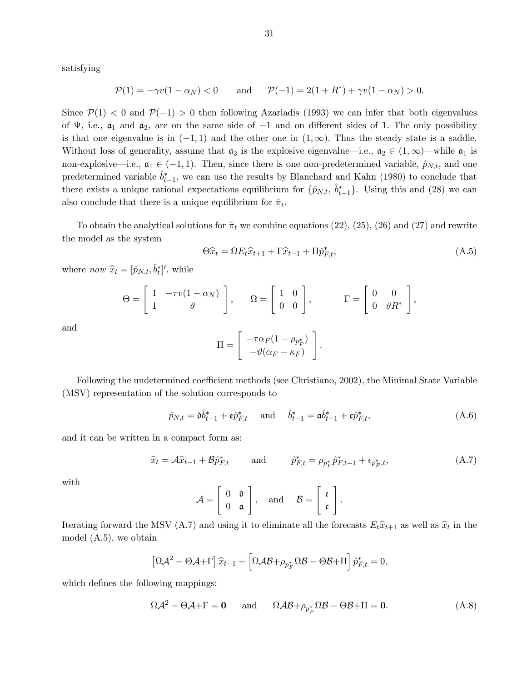satisfying

$$
\mathcal{P}(1) = -\gamma v(1 - \alpha_N) < 0 \qquad \text{and} \qquad \mathcal{P}(-1) = 2(1 + R^*) + \gamma v(1 - \alpha_N) > 0.
$$

Since  $\mathcal{P}(1) < 0$  and  $\mathcal{P}(-1) > 0$  then following Azariadis (1993) we can infer that both eigenvalues of  $\Psi$ , i.e.,  $\mathfrak{a}_1$  and  $\mathfrak{a}_2$ , are on the same side of  $-1$  and on different sides of 1. The only possibility is that one eigenvalue is in  $(-1, 1)$  and the other one in  $(1, \infty)$ . Thus the steady state is a saddle. Without loss of generality, assume that  $a_2$  is the explosive eigenvalue—i.e.,  $a_2 \in (1,\infty)$ —while  $a_1$  is non-explosive—i.e.,  $a_1 \in (-1, 1)$ . Then, since there is one non-predetermined variable,  $\hat{p}_{N,t}$ , and one predetermined variable  $\hat{b}_{t-1}^*$ , we can use the results by Blanchard and Kahn (1980) to conclude that there exists a unique rational expectations equilibrium for  $\{\hat{p}_{N,t}, \hat{b}_{t-1}^*\}$ . Using this and (28) we can also conclude that there is a unique equilibrium for  $\hat{\pi}_t$ .

To obtain the analytical solutions for  $\hat{\pi}_t$  we combine equations (22), (25), (26) and (27) and rewrite the model as the system

$$
\Theta \widehat{x}_t = \Omega E_t \widehat{x}_{t+1} + \Gamma \widehat{x}_{t-1} + \Pi \widehat{p}_{F,t}^*,
$$
\n(A.5)

where *now*  $\hat{x}_t = [\hat{p}_{N,t}, \hat{b}_t^*]'$ , while

$$
\Theta = \left[ \begin{array}{cc} 1 & -\tau v (1 - \alpha_N) \\ 1 & \vartheta \end{array} \right], \qquad \Omega = \left[ \begin{array}{cc} 1 & 0 \\ 0 & 0 \end{array} \right], \qquad \qquad \Gamma = \left[ \begin{array}{cc} 0 & 0 \\ 0 & \vartheta R^* \end{array} \right],
$$

and

$$
\Pi = \left[ \begin{array}{c} -\tau \alpha_F (1 - \rho_{p_F^*}) \\ -\vartheta(\alpha_F - \kappa_F) \end{array} \right].
$$

Following the undetermined coefficient methods (see Christiano, 2002), the Minimal State Variable (MSV) representation of the solution corresponds to

$$
\hat{p}_{N,t} = \mathfrak{d}\hat{b}_{t-1}^* + \mathfrak{e}\hat{p}_{F,t}^* \quad \text{and} \quad \hat{b}_{t-1}^* = \mathfrak{a}\hat{b}_{t-1}^* + \mathfrak{c}\hat{p}_{F,t}^*,
$$
\n(A.6)

and it can be written in a compact form as:

$$
\hat{x}_t = \mathcal{A}\hat{x}_{t-1} + \mathcal{B}\hat{p}_{F,t}^* \quad \text{and} \quad \hat{p}_{F,t}^* = \rho_{p_F^*}\hat{p}_{F,t-1}^* + \epsilon_{p_F^*,t},\tag{A.7}
$$

with

$$
\mathcal{A} = \left[ \begin{array}{cc} 0 & \mathfrak{d} \\ 0 & \mathfrak{a} \end{array} \right], \quad \text{and} \quad \mathcal{B} = \left[ \begin{array}{c} \mathfrak{e} \\ \mathfrak{c} \end{array} \right].
$$

Iterating forward the MSV (A.7) and using it to eliminate all the forecasts  $E_t\hat{x}_{t+1}$  as well as  $\hat{x}_t$  in the model (A.5), we obtain

$$
\left[\Omega \mathcal{A}^2 - \Theta \mathcal{A} + \Gamma\right] \hat{x}_{t-1} + \left[\Omega \mathcal{A} \mathcal{B} + \rho_{p_F^*} \Omega \mathcal{B} - \Theta \mathcal{B} + \Pi\right] \hat{p}_{F,t}^* = 0,
$$

which defines the following mappings:

$$
\Omega \mathcal{A}^2 - \Theta \mathcal{A} + \Gamma = 0 \quad \text{and} \quad \Omega \mathcal{A} \mathcal{B} + \rho_{p_F^*} \Omega \mathcal{B} - \Theta \mathcal{B} + \Pi = 0. \tag{A.8}
$$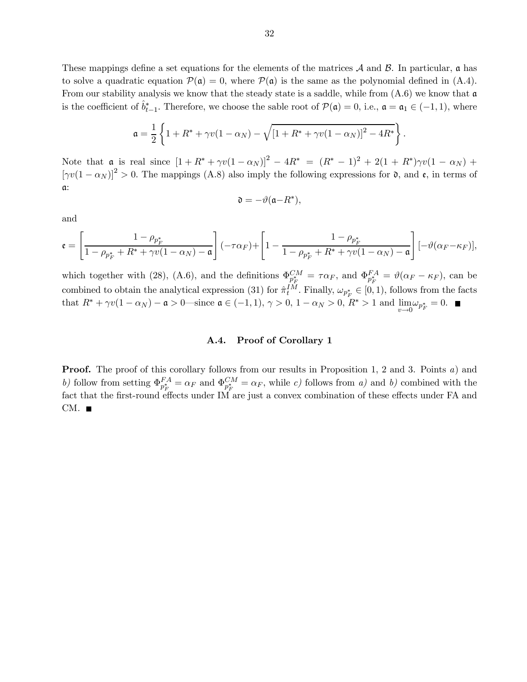These mappings define a set equations for the elements of the matrices  $\mathcal A$  and  $\mathcal B$ . In particular,  $\mathfrak a$  has to solve a quadratic equation  $\mathcal{P}(\mathfrak{a})=0$ , where  $\mathcal{P}(\mathfrak{a})$  is the same as the polynomial defined in (A.4). From our stability analysis we know that the steady state is a saddle, while from  $(A.6)$  we know that  $\mathfrak{a}$ is the coefficient of  $\hat{b}_{t-1}^*$ . Therefore, we choose the sable root of  $\mathcal{P}(\mathfrak{a})=0$ , i.e.,  $\mathfrak{a} = \mathfrak{a}_1 \in (-1,1)$ , where

$$
\mathfrak{a} = \frac{1}{2} \left\{ 1 + R^* + \gamma v (1 - \alpha_N) - \sqrt{[1 + R^* + \gamma v (1 - \alpha_N)]^2 - 4R^*} \right\}.
$$

Note that a is real since  $[1 + R^* + \gamma v(1 - \alpha_N)]^2 - 4R^* = (R^* - 1)^2 + 2(1 + R^*)\gamma v(1 - \alpha_N) +$  $[\gamma v(1 - \alpha_N)]^2 > 0$ . The mappings (A.8) also imply the following expressions for  $\mathfrak{d}$ , and  $\mathfrak{e}$ , in terms of a:

$$
\mathfrak{d}=-\vartheta(\mathfrak{a}-R^*),
$$

and

$$
\mathfrak{e} = \left[\frac{1-\rho_{p_F^*}}{1-\rho_{p_F^*}+R^*+\gamma v(1-\alpha_N)-\mathfrak{a}}\right](-\tau\alpha_F)+\left[1-\frac{1-\rho_{p_F^*}}{1-\rho_{p_F^*}+R^*+\gamma v(1-\alpha_N)-\mathfrak{a}}\right] [-\vartheta(\alpha_F-\kappa_F)],
$$

which together with (28), (A.6), and the definitions  $\Phi_{p_F^*}^{CM} = \tau \alpha_F$ , and  $\Phi_{p_F^*}^{FA} = \vartheta(\alpha_F - \kappa_F)$ , can be combined to obtain the analytical expression (31) for  $\hat{\pi}^{IM}_{t}$ . Finally,  $\omega_{p^*_{F}} \in [0,1)$ , follows from the facts that  $R^* + \gamma v(1 - \alpha_N) - \mathfrak{a} > 0$ —since  $\mathfrak{a} \in (-1, 1), \gamma > 0, 1 - \alpha_N > 0, R^* > 1$  and  $\lim_{v \to 0} \omega_{p_F^*} = 0$ .

## A.4. Proof of Corollary 1

**Proof.** The proof of this corollary follows from our results in Proposition 1, 2 and 3. Points a) and b) follow from setting  $\Phi_{p_F^*}^{FA} = \alpha_F$  and  $\Phi_{p_F^*}^{CM} = \alpha_F$ , while c) follows from a) and b) combined with the fact that the first-round effects under IM are just a convex combination of these effects under FA and  $CM.$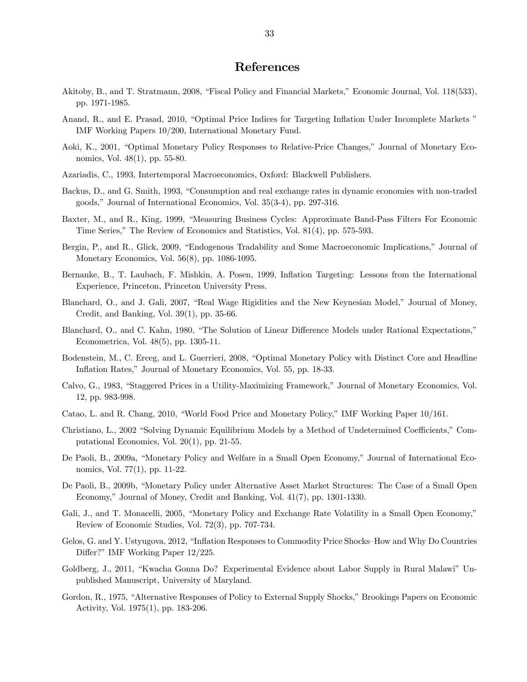# References

- Akitoby, B., and T. Stratmann, 2008, "Fiscal Policy and Financial Markets," Economic Journal, Vol. 118(533), pp. 1971-1985.
- Anand, R., and E. Prasad, 2010, "Optimal Price Indices for Targeting Inflation Under Incomplete Markets " IMF Working Papers 10/200, International Monetary Fund.
- Aoki, K., 2001, "Optimal Monetary Policy Responses to Relative-Price Changes," Journal of Monetary Economics, Vol. 48(1), pp. 55-80.
- Azariadis, C., 1993, Intertemporal Macroeconomics, Oxford: Blackwell Publishers.
- Backus, D., and G. Smith, 1993, "Consumption and real exchange rates in dynamic economies with non-traded goods," Journal of International Economics, Vol. 35(3-4), pp. 297-316.
- Baxter, M., and R., King, 1999, "Measuring Business Cycles: Approximate Band-Pass Filters For Economic Time Series," The Review of Economics and Statistics, Vol. 81(4), pp. 575-593.
- Bergin, P., and R., Glick, 2009, "Endogenous Tradability and Some Macroeconomic Implications," Journal of Monetary Economics, Vol. 56(8), pp. 1086-1095.
- Bernanke, B., T. Laubach, F. Mishkin, A. Posen, 1999, Inflation Targeting: Lessons from the International Experience, Princeton, Princeton University Press.
- Blanchard, O., and J. Gali, 2007, "Real Wage Rigidities and the New Keynesian Model," Journal of Money, Credit, and Banking, Vol. 39(1), pp. 35-66.
- Blanchard, O., and C. Kahn, 1980, "The Solution of Linear Difference Models under Rational Expectations," Econometrica, Vol. 48(5), pp. 1305-11.
- Bodenstein, M., C. Erceg, and L. Guerrieri, 2008, "Optimal Monetary Policy with Distinct Core and Headline Inflation Rates," Journal of Monetary Economics, Vol. 55, pp. 18-33.
- Calvo, G., 1983, "Staggered Prices in a Utility-Maximizing Framework," Journal of Monetary Economics, Vol. 12, pp. 983-998.
- Catao, L. and R. Chang, 2010, "World Food Price and Monetary Policy," IMF Working Paper 10/161.
- Christiano, L., 2002 "Solving Dynamic Equilibrium Models by a Method of Undetermined Coefficients," Computational Economics, Vol. 20(1), pp. 21-55.
- De Paoli, B., 2009a, "Monetary Policy and Welfare in a Small Open Economy," Journal of International Economics, Vol. 77(1), pp. 11-22.
- De Paoli, B., 2009b, "Monetary Policy under Alternative Asset Market Structures: The Case of a Small Open Economy," Journal of Money, Credit and Banking, Vol. 41(7), pp. 1301-1330.
- Gali, J., and T. Monacelli, 2005, "Monetary Policy and Exchange Rate Volatility in a Small Open Economy," Review of Economic Studies, Vol. 72(3), pp. 707-734.
- Gelos, G. and Y. Ustyugova, 2012, "Inflation Responses to Commodity Price Shocks—How and Why Do Countries Differ?" IMF Working Paper 12/225.
- Goldberg, J., 2011, "Kwacha Gonna Do? Experimental Evidence about Labor Supply in Rural Malawi" Unpublished Manuscript, University of Maryland.
- Gordon, R., 1975, "Alternative Responses of Policy to External Supply Shocks," Brookings Papers on Economic Activity, Vol. 1975(1), pp. 183-206.